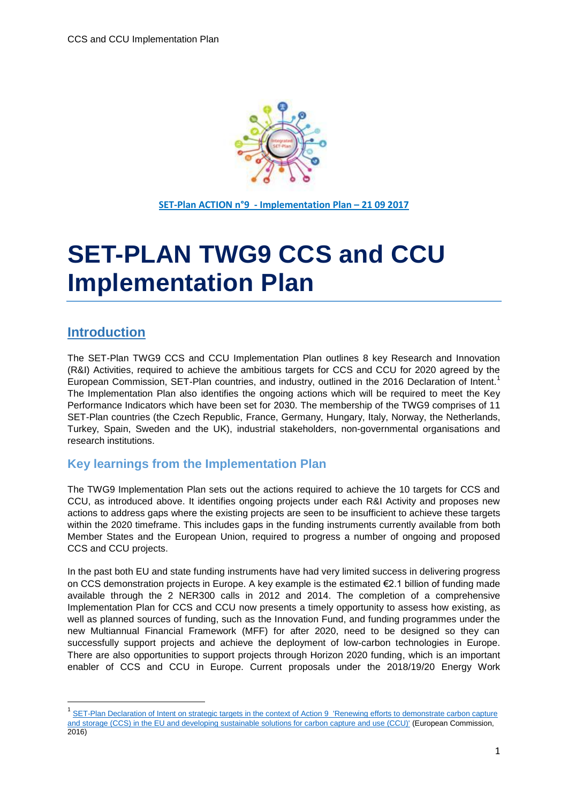

**SET-Plan ACTION n°9 - Implementation Plan – 21 09 2017**

# **SET-PLAN TWG9 CCS and CCU Implementation Plan**

### <span id="page-0-0"></span>**Introduction**

**.** 

The SET-Plan TWG9 CCS and CCU Implementation Plan outlines 8 key Research and Innovation (R&I) Activities, required to achieve the ambitious targets for CCS and CCU for 2020 agreed by the European Commission, SET-Plan countries, and industry, outlined in the 2016 Declaration of Intent.<sup>1</sup> The Implementation Plan also identifies the ongoing actions which will be required to meet the Key Performance Indicators which have been set for 2030. The membership of the TWG9 comprises of 11 SET-Plan countries (the Czech Republic, France, Germany, Hungary, Italy, Norway, the Netherlands, Turkey, Spain, Sweden and the UK), industrial stakeholders, non-governmental organisations and research institutions.

#### <span id="page-0-1"></span>**Key learnings from the Implementation Plan**

The TWG9 Implementation Plan sets out the actions required to achieve the 10 targets for CCS and CCU, as introduced above. It identifies ongoing projects under each R&I Activity and proposes new actions to address gaps where the existing projects are seen to be insufficient to achieve these targets within the 2020 timeframe. This includes gaps in the funding instruments currently available from both Member States and the European Union, required to progress a number of ongoing and proposed CCS and CCU projects.

In the past both EU and state funding instruments have had very limited success in delivering progress on CCS demonstration projects in Europe. A key example is the estimated €2.1 billion of funding made available through the 2 NER300 calls in 2012 and 2014. The completion of a comprehensive Implementation Plan for CCS and CCU now presents a timely opportunity to assess how existing, as well as planned sources of funding, such as the Innovation Fund, and funding programmes under the new Multiannual Financial Framework (MFF) for after 2020, need to be designed so they can successfully support projects and achieve the deployment of low-carbon technologies in Europe. There are also opportunities to support projects through Horizon 2020 funding, which is an important enabler of CCS and CCU in Europe. Current proposals under the 2018/19/20 Energy Work

<sup>&</sup>lt;sup>1</sup> SET-Plan Declaration of Intent on strategic targets in the context of Action 9 'Renewing efforts to demonstrate carbon capture [and storage \(CCS\) in the EU and developing sustainable solutions for carbon capture and use \(CCU\)'](https://setis.ec.europa.eu/system/files/integrated_set-plan/setplan_doi_ccus-final.pdf) (European Commission, 2016)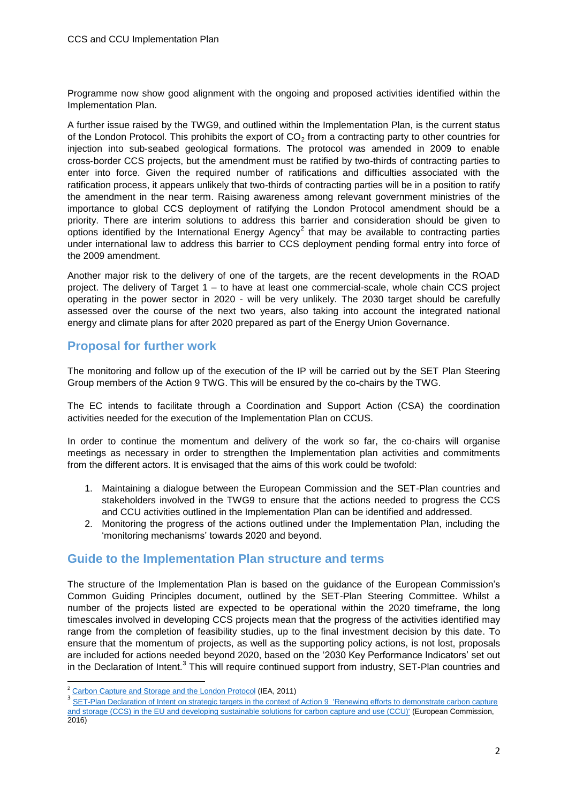Programme now show good alignment with the ongoing and proposed activities identified within the Implementation Plan.

A further issue raised by the TWG9, and outlined within the Implementation Plan, is the current status of the London Protocol. This prohibits the export of  $CO<sub>2</sub>$  from a contracting party to other countries for injection into sub‐seabed geological formations. The protocol was amended in 2009 to enable cross‐border CCS projects, but the amendment must be ratified by two‐thirds of contracting parties to enter into force. Given the required number of ratifications and difficulties associated with the ratification process, it appears unlikely that two-thirds of contracting parties will be in a position to ratify the amendment in the near term. Raising awareness among relevant government ministries of the importance to global CCS deployment of ratifying the London Protocol amendment should be a priority. There are interim solutions to address this barrier and consideration should be given to options identified by the International Energy Agency<sup>2</sup> that may be available to contracting parties under international law to address this barrier to CCS deployment pending formal entry into force of the 2009 amendment.

Another major risk to the delivery of one of the targets, are the recent developments in the ROAD project. The delivery of Target 1 – to have at least one commercial-scale, whole chain CCS project operating in the power sector in 2020 - will be very unlikely. The 2030 target should be carefully assessed over the course of the next two years, also taking into account the integrated national energy and climate plans for after 2020 prepared as part of the Energy Union Governance.

#### <span id="page-1-0"></span>**Proposal for further work**

The monitoring and follow up of the execution of the IP will be carried out by the SET Plan Steering Group members of the Action 9 TWG. This will be ensured by the co-chairs by the TWG.

The EC intends to facilitate through a Coordination and Support Action (CSA) the coordination activities needed for the execution of the Implementation Plan on CCUS.

In order to continue the momentum and delivery of the work so far, the co-chairs will organise meetings as necessary in order to strengthen the Implementation plan activities and commitments from the different actors. It is envisaged that the aims of this work could be twofold:

- 1. Maintaining a dialogue between the European Commission and the SET-Plan countries and stakeholders involved in the TWG9 to ensure that the actions needed to progress the CCS and CCU activities outlined in the Implementation Plan can be identified and addressed.
- 2. Monitoring the progress of the actions outlined under the Implementation Plan, including the 'monitoring mechanisms' towards 2020 and beyond.

#### <span id="page-1-1"></span>**Guide to the Implementation Plan structure and terms**

The structure of the Implementation Plan is based on the guidance of the European Commission's Common Guiding Principles document, outlined by the SET-Plan Steering Committee. Whilst a number of the projects listed are expected to be operational within the 2020 timeframe, the long timescales involved in developing CCS projects mean that the progress of the activities identified may range from the completion of feasibility studies, up to the final investment decision by this date. To ensure that the momentum of projects, as well as the supporting policy actions, is not lost, proposals are included for actions needed beyond 2020, based on the '2030 Key Performance Indicators' set out in the Declaration of Intent.<sup>3</sup> This will require continued support from industry, SET-Plan countries and

**.** 

<sup>&</sup>lt;sup>2</sup> [Carbon Capture and Storage and the London Protocol](https://www.iea.org/publications/freepublications/publication/CCS_London_Protocol.pdf) (IEA, 2011)

<sup>&</sup>lt;sup>3</sup> SET-Plan Declaration of Intent on strategic targets in the context of Action 9 'Renewing efforts to demonstrate carbon capture [and storage \(CCS\) in the EU and developing sustainable solutions for carbon capture and use \(CCU\)'](https://setis.ec.europa.eu/system/files/integrated_set-plan/setplan_doi_ccus-final.pdf) (European Commission, 2016)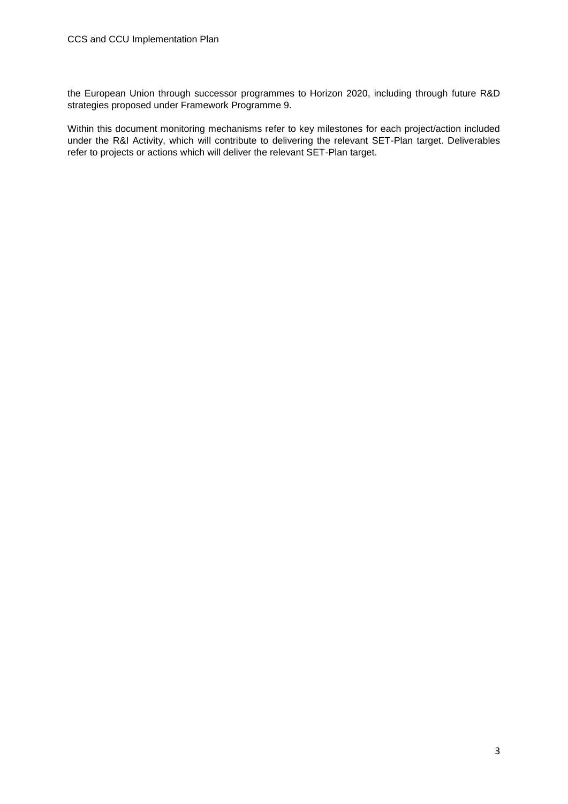the European Union through successor programmes to Horizon 2020, including through future R&D strategies proposed under Framework Programme 9.

Within this document monitoring mechanisms refer to key milestones for each project/action included under the R&I Activity, which will contribute to delivering the relevant SET-Plan target. Deliverables refer to projects or actions which will deliver the relevant SET-Plan target.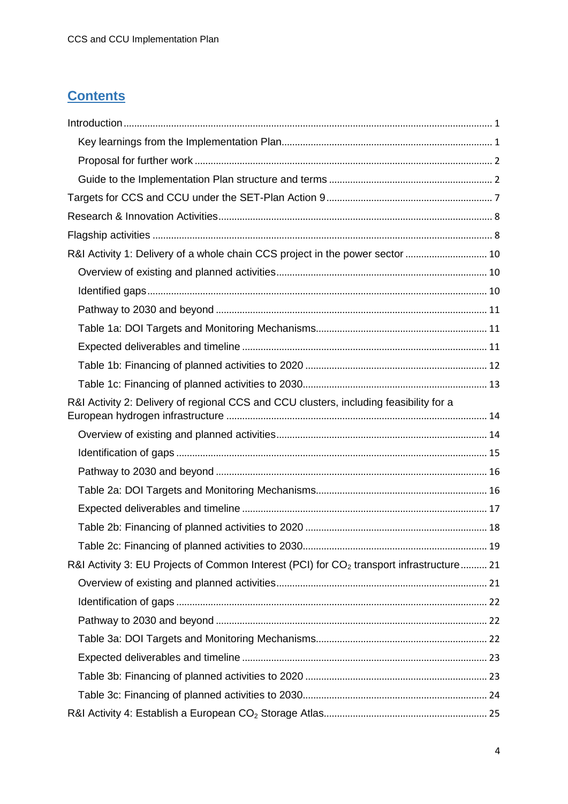## **Contents**

| R&I Activity 1: Delivery of a whole chain CCS project in the power sector  10              |  |
|--------------------------------------------------------------------------------------------|--|
|                                                                                            |  |
|                                                                                            |  |
|                                                                                            |  |
|                                                                                            |  |
|                                                                                            |  |
|                                                                                            |  |
|                                                                                            |  |
| R&I Activity 2: Delivery of regional CCS and CCU clusters, including feasibility for a     |  |
|                                                                                            |  |
|                                                                                            |  |
|                                                                                            |  |
|                                                                                            |  |
|                                                                                            |  |
|                                                                                            |  |
|                                                                                            |  |
| R&I Activity 3: EU Projects of Common Interest (PCI) for $CO2$ transport infrastructure 21 |  |
|                                                                                            |  |
|                                                                                            |  |
|                                                                                            |  |
|                                                                                            |  |
|                                                                                            |  |
|                                                                                            |  |
|                                                                                            |  |
|                                                                                            |  |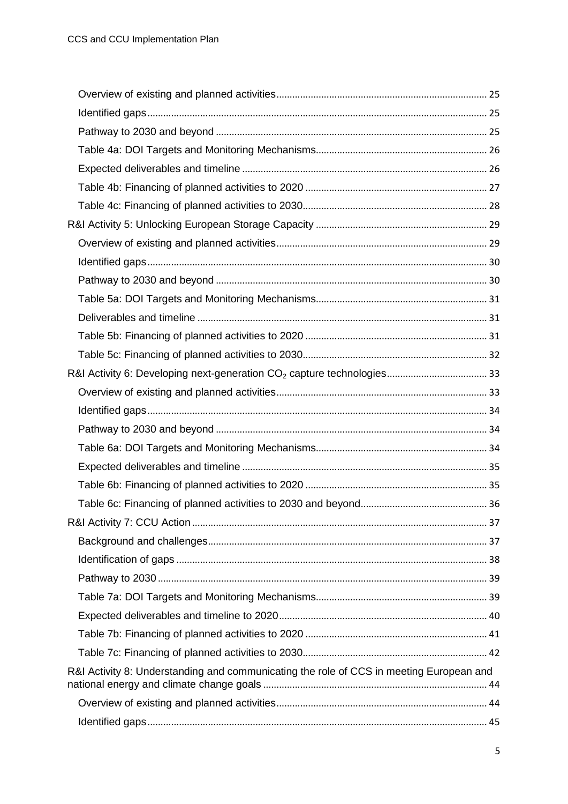| R&I Activity 8: Understanding and communicating the role of CCS in meeting European and |  |
|-----------------------------------------------------------------------------------------|--|
|                                                                                         |  |
|                                                                                         |  |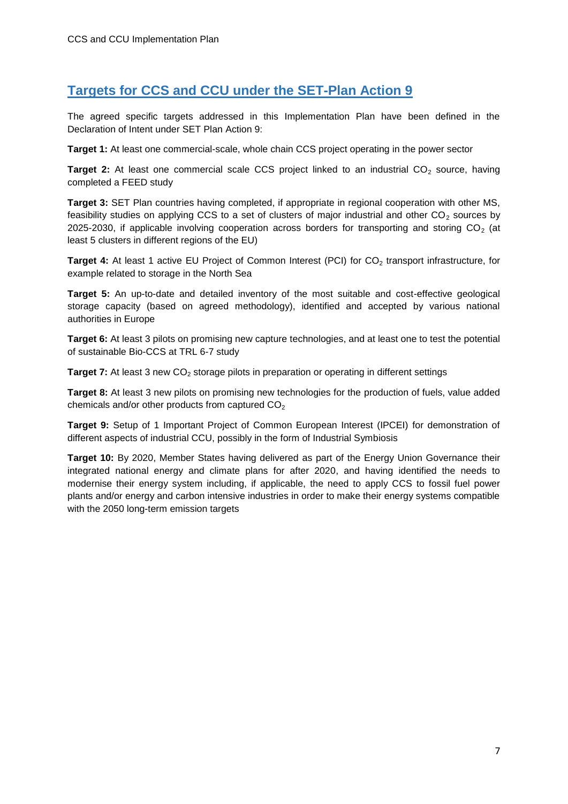## <span id="page-6-0"></span>**Targets for CCS and CCU under the SET-Plan Action 9**

The agreed specific targets addressed in this Implementation Plan have been defined in the Declaration of Intent under SET Plan Action 9:

**Target 1:** At least one commercial-scale, whole chain CCS project operating in the power sector

Target 2: At least one commercial scale CCS project linked to an industrial CO<sub>2</sub> source, having completed a FEED study

**Target 3:** SET Plan countries having completed, if appropriate in regional cooperation with other MS, feasibility studies on applying CCS to a set of clusters of major industrial and other  $CO<sub>2</sub>$  sources by 2025-2030, if applicable involving cooperation across borders for transporting and storing  $CO<sub>2</sub>$  (at least 5 clusters in different regions of the EU)

Target 4: At least 1 active EU Project of Common Interest (PCI) for CO<sub>2</sub> transport infrastructure, for example related to storage in the North Sea

**Target 5:** An up-to-date and detailed inventory of the most suitable and cost-effective geological storage capacity (based on agreed methodology), identified and accepted by various national authorities in Europe

**Target 6:** At least 3 pilots on promising new capture technologies, and at least one to test the potential of sustainable Bio-CCS at TRL 6-7 study

**Target 7:** At least 3 new CO<sub>2</sub> storage pilots in preparation or operating in different settings

**Target 8:** At least 3 new pilots on promising new technologies for the production of fuels, value added chemicals and/or other products from captured  $CO<sub>2</sub>$ 

**Target 9:** Setup of 1 Important Project of Common European Interest (IPCEI) for demonstration of different aspects of industrial CCU, possibly in the form of Industrial Symbiosis

**Target 10:** By 2020, Member States having delivered as part of the Energy Union Governance their integrated national energy and climate plans for after 2020, and having identified the needs to modernise their energy system including, if applicable, the need to apply CCS to fossil fuel power plants and/or energy and carbon intensive industries in order to make their energy systems compatible with the 2050 long-term emission targets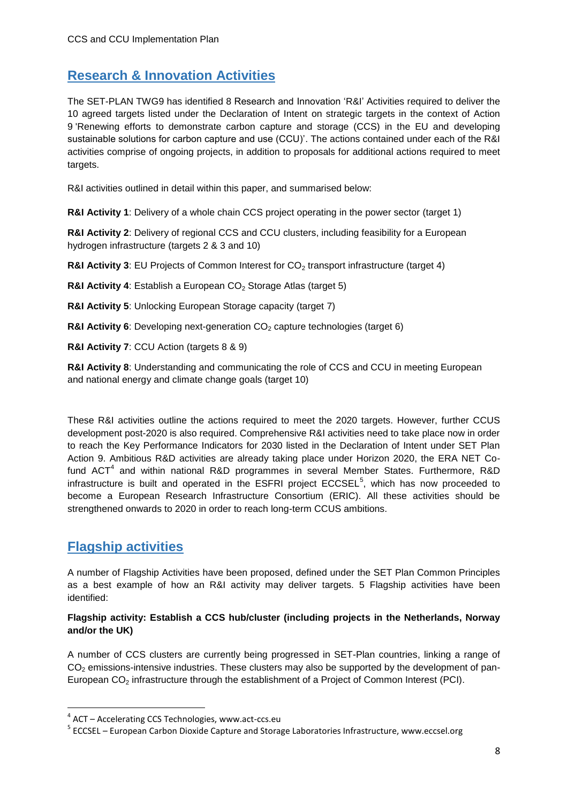## <span id="page-7-0"></span>**Research & Innovation Activities**

The SET-PLAN TWG9 has identified 8 Research and Innovation 'R&I' Activities required to deliver the 10 agreed targets listed under the Declaration of Intent on strategic targets in the context of Action 9 'Renewing efforts to demonstrate carbon capture and storage (CCS) in the EU and developing sustainable solutions for carbon capture and use (CCU)'. The actions contained under each of the R&I activities comprise of ongoing projects, in addition to proposals for additional actions required to meet targets.

R&I activities outlined in detail within this paper, and summarised below:

**R&I Activity 1**: Delivery of a whole chain CCS project operating in the power sector (target 1)

**R&I Activity 2**: Delivery of regional CCS and CCU clusters, including feasibility for a European hydrogen infrastructure (targets 2 & 3 and 10)

**R&I Activity 3: EU Projects of Common Interest for CO<sub>2</sub> transport infrastructure (target 4)** 

**R&I Activity 4: Establish a European CO<sub>2</sub> Storage Atlas (target 5)** 

**R&I Activity 5**: Unlocking European Storage capacity (target 7)

**R&I Activity 6:** Developing next-generation CO<sub>2</sub> capture technologies (target 6)

**R&I Activity 7**: CCU Action (targets 8 & 9)

**R&I Activity 8**: Understanding and communicating the role of CCS and CCU in meeting European and national energy and climate change goals (target 10)

These R&I activities outline the actions required to meet the 2020 targets. However, further CCUS development post-2020 is also required. Comprehensive R&I activities need to take place now in order to reach the Key Performance Indicators for 2030 listed in the Declaration of Intent under SET Plan Action 9. Ambitious R&D activities are already taking place under Horizon 2020, the ERA NET Cofund ACT<sup>4</sup> and within national R&D programmes in several Member States. Furthermore, R&D infrastructure is built and operated in the ESFRI project  $ECCSEL<sup>5</sup>$ , which has now proceeded to become a European Research Infrastructure Consortium (ERIC). All these activities should be strengthened onwards to 2020 in order to reach long-term CCUS ambitions.

### <span id="page-7-1"></span>**Flagship activities**

1

A number of Flagship Activities have been proposed, defined under the SET Plan Common Principles as a best example of how an R&I activity may deliver targets. 5 Flagship activities have been identified:

#### **Flagship activity: Establish a CCS hub/cluster (including projects in the Netherlands, Norway and/or the UK)**

A number of CCS clusters are currently being progressed in SET-Plan countries, linking a range of  $CO<sub>2</sub>$  emissions-intensive industries. These clusters may also be supported by the development of pan-European CO<sub>2</sub> infrastructure through the establishment of a Project of Common Interest (PCI).

<sup>&</sup>lt;sup>4</sup> ACT – Accelerating CCS Technologies, www.act-ccs.eu

<sup>&</sup>lt;sup>5</sup> ECCSEL – European Carbon Dioxide Capture and Storage Laboratories Infrastructure, www.eccsel.org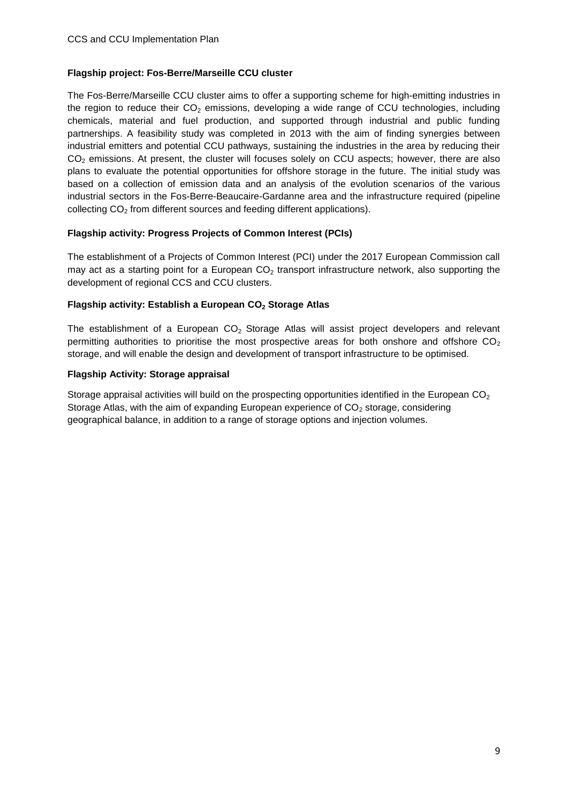#### **Flagship project: Fos-Berre/Marseille CCU cluster**

The Fos-Berre/Marseille CCU cluster aims to offer a supporting scheme for high-emitting industries in the region to reduce their  $CO<sub>2</sub>$  emissions, developing a wide range of CCU technologies, including chemicals, material and fuel production, and supported through industrial and public funding partnerships. A feasibility study was completed in 2013 with the aim of finding synergies between industrial emitters and potential CCU pathways, sustaining the industries in the area by reducing their CO<sub>2</sub> emissions. At present, the cluster will focuses solely on CCU aspects; however, there are also plans to evaluate the potential opportunities for offshore storage in the future. The initial study was based on a collection of emission data and an analysis of the evolution scenarios of the various industrial sectors in the Fos-Berre-Beaucaire-Gardanne area and the infrastructure required (pipeline collecting  $CO<sub>2</sub>$  from different sources and feeding different applications).

#### **Flagship activity: Progress Projects of Common Interest (PCIs)**

The establishment of a Projects of Common Interest (PCI) under the 2017 European Commission call may act as a starting point for a European  $CO<sub>2</sub>$  transport infrastructure network, also supporting the development of regional CCS and CCU clusters.

#### **Flagship activity: Establish a European CO<sup>2</sup> Storage Atlas**

The establishment of a European  $CO<sub>2</sub>$  Storage Atlas will assist project developers and relevant permitting authorities to prioritise the most prospective areas for both onshore and offshore  $CO<sub>2</sub>$ storage, and will enable the design and development of transport infrastructure to be optimised.

#### **Flagship Activity: Storage appraisal**

Storage appraisal activities will build on the prospecting opportunities identified in the European  $CO<sub>2</sub>$ Storage Atlas, with the aim of expanding European experience of  $CO<sub>2</sub>$  storage, considering geographical balance, in addition to a range of storage options and injection volumes.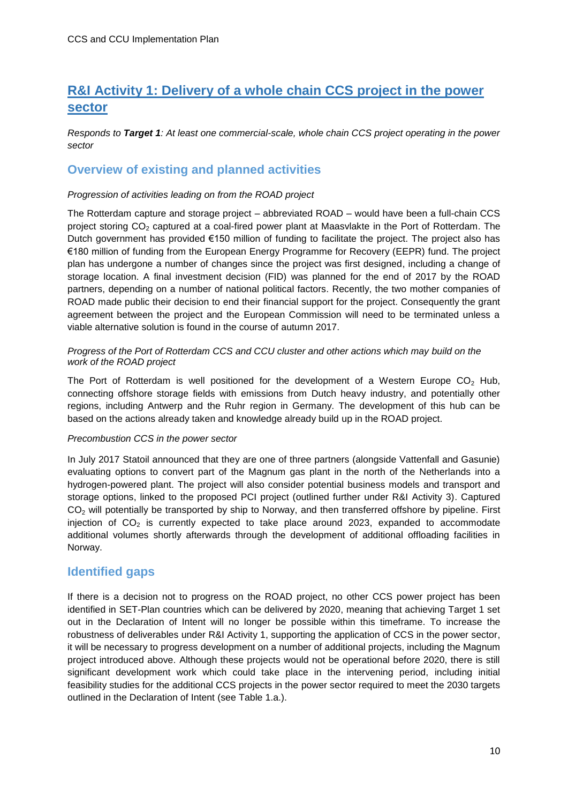### <span id="page-9-0"></span>**R&I Activity 1: Delivery of a whole chain CCS project in the power sector**

*Responds to Target 1: At least one commercial-scale, whole chain CCS project operating in the power sector*

#### <span id="page-9-1"></span>**Overview of existing and planned activities**

#### *Progression of activities leading on from the ROAD project*

The Rotterdam capture and storage project – abbreviated ROAD – would have been a full-chain CCS project storing CO<sub>2</sub> captured at a coal-fired power plant at Maasvlakte in the Port of Rotterdam. The Dutch government has provided €150 million of funding to facilitate the project. The project also has €180 million of funding from the European Energy Programme for Recovery (EEPR) fund. The project plan has undergone a number of changes since the project was first designed, including a change of storage location. A final investment decision (FID) was planned for the end of 2017 by the ROAD partners, depending on a number of national political factors. Recently, the two mother companies of ROAD made public their decision to end their financial support for the project. Consequently the grant agreement between the project and the European Commission will need to be terminated unless a viable alternative solution is found in the course of autumn 2017.

#### *Progress of the Port of Rotterdam CCS and CCU cluster and other actions which may build on the work of the ROAD project*

The Port of Rotterdam is well positioned for the development of a Western Europe  $CO<sub>2</sub>$  Hub, connecting offshore storage fields with emissions from Dutch heavy industry, and potentially other regions, including Antwerp and the Ruhr region in Germany. The development of this hub can be based on the actions already taken and knowledge already build up in the ROAD project.

#### *Precombustion CCS in the power sector*

In July 2017 Statoil announced that they are one of three partners (alongside Vattenfall and Gasunie) evaluating options to convert part of the Magnum gas plant in the north of the Netherlands into a hydrogen-powered plant. The project will also consider potential business models and transport and storage options, linked to the proposed PCI project (outlined further under R&I Activity 3). Captured CO<sub>2</sub> will potentially be transported by ship to Norway, and then transferred offshore by pipeline. First injection of  $CO<sub>2</sub>$  is currently expected to take place around 2023, expanded to accommodate additional volumes shortly afterwards through the development of additional offloading facilities in Norway.

#### <span id="page-9-2"></span>**Identified gaps**

If there is a decision not to progress on the ROAD project, no other CCS power project has been identified in SET-Plan countries which can be delivered by 2020, meaning that achieving Target 1 set out in the Declaration of Intent will no longer be possible within this timeframe. To increase the robustness of deliverables under R&I Activity 1, supporting the application of CCS in the power sector, it will be necessary to progress development on a number of additional projects, including the Magnum project introduced above. Although these projects would not be operational before 2020, there is still significant development work which could take place in the intervening period, including initial feasibility studies for the additional CCS projects in the power sector required to meet the 2030 targets outlined in the Declaration of Intent (see Table 1.a.).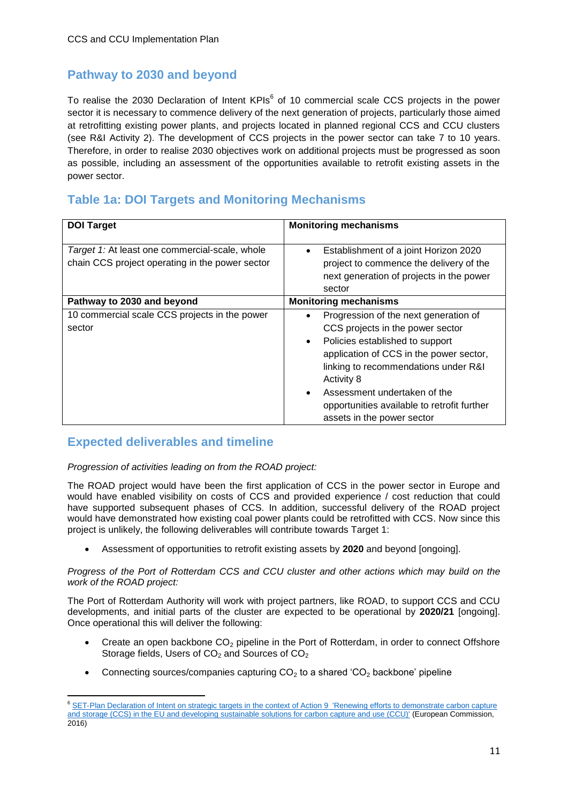### <span id="page-10-0"></span>**Pathway to 2030 and beyond**

To realise the 2030 Declaration of Intent KPIs<sup>6</sup> of 10 commercial scale CCS projects in the power sector it is necessary to commence delivery of the next generation of projects, particularly those aimed at retrofitting existing power plants, and projects located in planned regional CCS and CCU clusters (see R&I Activity 2). The development of CCS projects in the power sector can take 7 to 10 years. Therefore, in order to realise 2030 objectives work on additional projects must be progressed as soon as possible, including an assessment of the opportunities available to retrofit existing assets in the power sector.

### <span id="page-10-1"></span>**Table 1a: DOI Targets and Monitoring Mechanisms**

| <b>DOI Target</b>                                                                                 | <b>Monitoring mechanisms</b>                                                                                                                                                                                                                                                                                                                              |
|---------------------------------------------------------------------------------------------------|-----------------------------------------------------------------------------------------------------------------------------------------------------------------------------------------------------------------------------------------------------------------------------------------------------------------------------------------------------------|
| Target 1: At least one commercial-scale, whole<br>chain CCS project operating in the power sector | Establishment of a joint Horizon 2020<br>٠<br>project to commence the delivery of the<br>next generation of projects in the power<br>sector                                                                                                                                                                                                               |
| Pathway to 2030 and beyond                                                                        | <b>Monitoring mechanisms</b>                                                                                                                                                                                                                                                                                                                              |
| 10 commercial scale CCS projects in the power<br>sector                                           | Progression of the next generation of<br>٠<br>CCS projects in the power sector<br>Policies established to support<br>$\bullet$<br>application of CCS in the power sector,<br>linking to recommendations under R&I<br>Activity 8<br>Assessment undertaken of the<br>$\bullet$<br>opportunities available to retrofit further<br>assets in the power sector |

### <span id="page-10-2"></span>**Expected deliverables and timeline**

*Progression of activities leading on from the ROAD project:*

The ROAD project would have been the first application of CCS in the power sector in Europe and would have enabled visibility on costs of CCS and provided experience / cost reduction that could have supported subsequent phases of CCS. In addition, successful delivery of the ROAD project would have demonstrated how existing coal power plants could be retrofitted with CCS. Now since this project is unlikely, the following deliverables will contribute towards Target 1:

Assessment of opportunities to retrofit existing assets by **2020** and beyond [ongoing].

*Progress of the Port of Rotterdam CCS and CCU cluster and other actions which may build on the work of the ROAD project:*

The Port of Rotterdam Authority will work with project partners, like ROAD, to support CCS and CCU developments, and initial parts of the cluster are expected to be operational by **2020/21** [ongoing]. Once operational this will deliver the following:

- Create an open backbone  $CO<sub>2</sub>$  pipeline in the Port of Rotterdam, in order to connect Offshore Storage fields, Users of  $CO<sub>2</sub>$  and Sources of  $CO<sub>2</sub>$
- Connecting sources/companies capturing  $CO<sub>2</sub>$  to a shared 'CO<sub>2</sub> backbone' pipeline

**<sup>.</sup>** <sup>6</sup> SET-Plan Declaration of Intent on strategic targets in the context of Action 9 'Renewing efforts to demonstrate carbon capture [and storage \(CCS\) in the EU and developing sustainable solutions for carbon capture and use \(CCU\)'](https://setis.ec.europa.eu/system/files/integrated_set-plan/setplan_doi_ccus-final.pdf) (European Commission, 2016)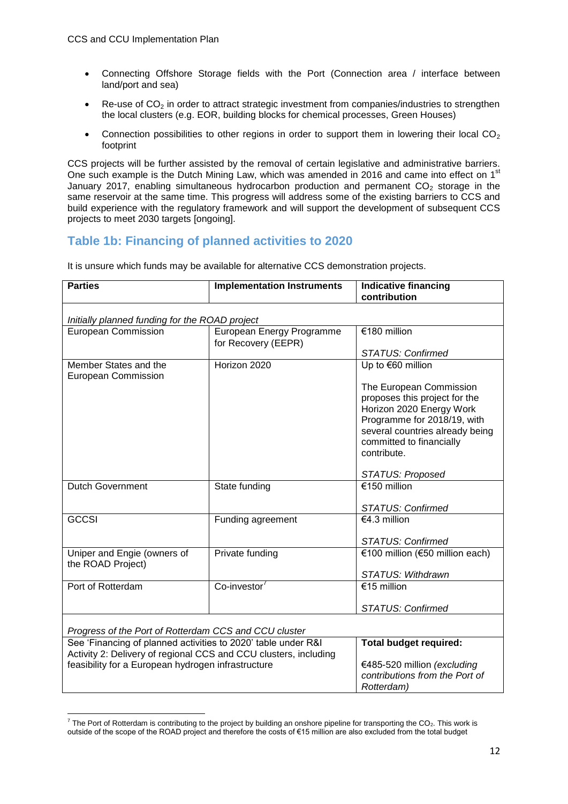- Connecting Offshore Storage fields with the Port (Connection area / interface between land/port and sea)
- $\bullet$  Re-use of CO<sub>2</sub> in order to attract strategic investment from companies/industries to strengthen the local clusters (e.g. EOR, building blocks for chemical processes, Green Houses)
- Connection possibilities to other regions in order to support them in lowering their local  $CO<sub>2</sub>$ footprint

CCS projects will be further assisted by the removal of certain legislative and administrative barriers. One such example is the Dutch Mining Law, which was amended in 2016 and came into effect on 1<sup>st</sup> January 2017, enabling simultaneous hydrocarbon production and permanent  $CO<sub>2</sub>$  storage in the same reservoir at the same time. This progress will address some of the existing barriers to CCS and build experience with the regulatory framework and will support the development of subsequent CCS projects to meet 2030 targets [ongoing].

#### <span id="page-11-0"></span>**Table 1b: Financing of planned activities to 2020**

It is unsure which funds may be available for alternative CCS demonstration projects.

| <b>Parties</b><br><b>Implementation Instruments</b>              |                                                  | <b>Indicative financing</b>     |  |
|------------------------------------------------------------------|--------------------------------------------------|---------------------------------|--|
|                                                                  |                                                  | contribution                    |  |
|                                                                  |                                                  |                                 |  |
| Initially planned funding for the ROAD project                   |                                                  |                                 |  |
| <b>European Commission</b>                                       | European Energy Programme<br>for Recovery (EEPR) | €180 million                    |  |
|                                                                  |                                                  | <b>STATUS: Confirmed</b>        |  |
| Member States and the<br>European Commission                     | Horizon 2020                                     | Up to €60 million               |  |
|                                                                  |                                                  | The European Commission         |  |
|                                                                  |                                                  | proposes this project for the   |  |
|                                                                  |                                                  | Horizon 2020 Energy Work        |  |
|                                                                  |                                                  | Programme for 2018/19, with     |  |
|                                                                  |                                                  | several countries already being |  |
|                                                                  |                                                  | committed to financially        |  |
|                                                                  |                                                  | contribute.                     |  |
|                                                                  |                                                  | <b>STATUS: Proposed</b>         |  |
| <b>Dutch Government</b>                                          | State funding                                    | €150 million                    |  |
|                                                                  |                                                  |                                 |  |
|                                                                  |                                                  | <b>STATUS: Confirmed</b>        |  |
| <b>GCCSI</b>                                                     | Funding agreement                                | €4.3 million                    |  |
|                                                                  |                                                  |                                 |  |
|                                                                  |                                                  | <b>STATUS: Confirmed</b>        |  |
| Uniper and Engie (owners of<br>the ROAD Project)                 | Private funding                                  | €100 million (€50 million each) |  |
|                                                                  |                                                  | STATUS: Withdrawn               |  |
| Port of Rotterdam                                                | Co-investor                                      | €15 million                     |  |
|                                                                  |                                                  |                                 |  |
|                                                                  |                                                  | <b>STATUS: Confirmed</b>        |  |
| Progress of the Port of Rotterdam CCS and CCU cluster            |                                                  |                                 |  |
| See 'Financing of planned activities to 2020' table under R&I    |                                                  | <b>Total budget required:</b>   |  |
| Activity 2: Delivery of regional CCS and CCU clusters, including |                                                  |                                 |  |
| feasibility for a European hydrogen infrastructure               |                                                  | €485-520 million (excluding     |  |
|                                                                  |                                                  | contributions from the Port of  |  |
|                                                                  |                                                  | Rotterdam)                      |  |

 7 The Port of Rotterdam is contributing to the project by building an onshore pipeline for transporting the CO2. This work is outside of the scope of the ROAD project and therefore the costs of €15 million are also excluded from the total budget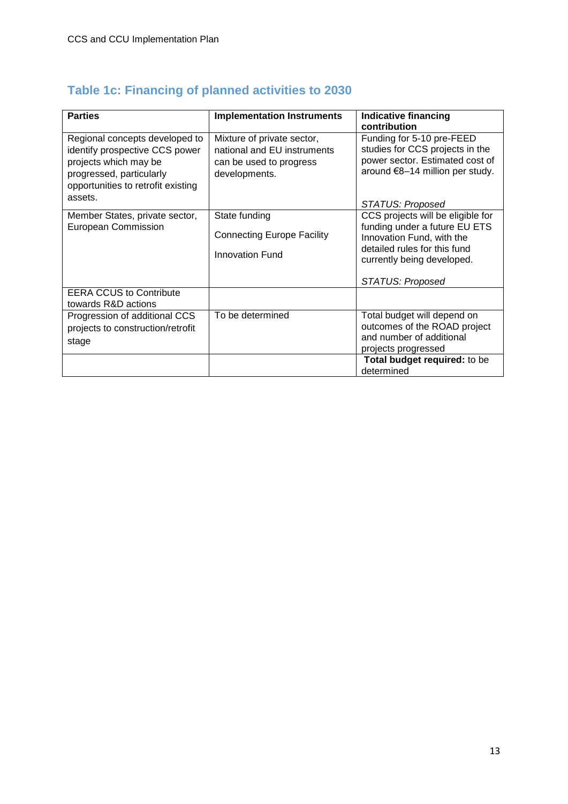<span id="page-12-0"></span>

| Table 1c: Financing of planned activities to 2030 |  |  |  |
|---------------------------------------------------|--|--|--|
|                                                   |  |  |  |

| <b>Parties</b>                                                                                                                                                         | <b>Implementation Instruments</b>                                                                     | <b>Indicative financing</b><br>contribution                                                                                                                                              |
|------------------------------------------------------------------------------------------------------------------------------------------------------------------------|-------------------------------------------------------------------------------------------------------|------------------------------------------------------------------------------------------------------------------------------------------------------------------------------------------|
| Regional concepts developed to<br>identify prospective CCS power<br>projects which may be<br>progressed, particularly<br>opportunities to retrofit existing<br>assets. | Mixture of private sector,<br>national and EU instruments<br>can be used to progress<br>developments. | Funding for 5-10 pre-FEED<br>studies for CCS projects in the<br>power sector. Estimated cost of<br>around €8-14 million per study.                                                       |
|                                                                                                                                                                        |                                                                                                       | <b>STATUS: Proposed</b>                                                                                                                                                                  |
| Member States, private sector,<br><b>European Commission</b><br><b>EERA CCUS to Contribute</b>                                                                         | State funding<br><b>Connecting Europe Facility</b><br><b>Innovation Fund</b>                          | CCS projects will be eligible for<br>funding under a future EU ETS<br>Innovation Fund, with the<br>detailed rules for this fund<br>currently being developed.<br><b>STATUS: Proposed</b> |
| towards R&D actions<br>Progression of additional CCS                                                                                                                   | To be determined                                                                                      | Total budget will depend on                                                                                                                                                              |
| projects to construction/retrofit<br>stage                                                                                                                             |                                                                                                       | outcomes of the ROAD project<br>and number of additional<br>projects progressed                                                                                                          |
|                                                                                                                                                                        |                                                                                                       | Total budget required: to be<br>determined                                                                                                                                               |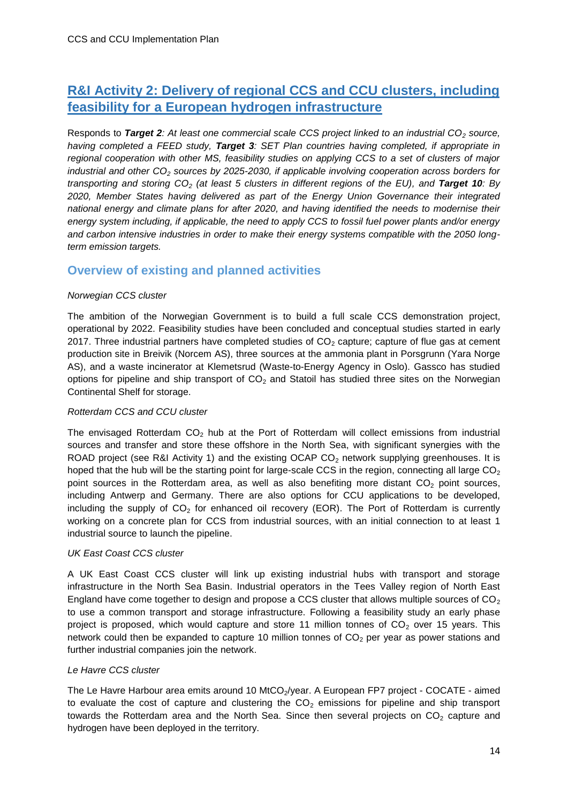### <span id="page-13-0"></span>**R&I Activity 2: Delivery of regional CCS and CCU clusters, including feasibility for a European hydrogen infrastructure**

Responds to *Target 2: At least one commercial scale CCS project linked to an industrial CO<sup>2</sup> source, having completed a FEED study, Target 3: SET Plan countries having completed, if appropriate in regional cooperation with other MS, feasibility studies on applying CCS to a set of clusters of major industrial and other CO<sup>2</sup> sources by 2025-2030, if applicable involving cooperation across borders for transporting and storing CO<sup>2</sup> (at least 5 clusters in different regions of the EU), and Target 10: By 2020, Member States having delivered as part of the Energy Union Governance their integrated national energy and climate plans for after 2020, and having identified the needs to modernise their energy system including, if applicable, the need to apply CCS to fossil fuel power plants and/or energy and carbon intensive industries in order to make their energy systems compatible with the 2050 longterm emission targets.* 

#### <span id="page-13-1"></span>**Overview of existing and planned activities**

#### *Norwegian CCS cluster*

The ambition of the Norwegian Government is to build a full scale CCS demonstration project, operational by 2022. Feasibility studies have been concluded and conceptual studies started in early 2017. Three industrial partners have completed studies of  $CO<sub>2</sub>$  capture; capture of flue gas at cement production site in Breivik (Norcem AS), three sources at the ammonia plant in Porsgrunn (Yara Norge AS), and a waste incinerator at Klemetsrud (Waste-to-Energy Agency in Oslo). Gassco has studied options for pipeline and ship transport of  $CO<sub>2</sub>$  and Statoil has studied three sites on the Norwegian Continental Shelf for storage.

#### *Rotterdam CCS and CCU cluster*

The envisaged Rotterdam  $CO<sub>2</sub>$  hub at the Port of Rotterdam will collect emissions from industrial sources and transfer and store these offshore in the North Sea, with significant synergies with the ROAD project (see R&I Activity 1) and the existing OCAP CO<sub>2</sub> network supplying greenhouses. It is hoped that the hub will be the starting point for large-scale CCS in the region, connecting all large  $CO<sub>2</sub>$ point sources in the Rotterdam area, as well as also benefiting more distant  $CO<sub>2</sub>$  point sources, including Antwerp and Germany. There are also options for CCU applications to be developed, including the supply of  $CO<sub>2</sub>$  for enhanced oil recovery (EOR). The Port of Rotterdam is currently working on a concrete plan for CCS from industrial sources, with an initial connection to at least 1 industrial source to launch the pipeline.

#### *UK East Coast CCS cluster*

A UK East Coast CCS cluster will link up existing industrial hubs with transport and storage infrastructure in the North Sea Basin. Industrial operators in the Tees Valley region of North East England have come together to design and propose a CCS cluster that allows multiple sources of  $CO<sub>2</sub>$ to use a common transport and storage infrastructure. Following a feasibility study an early phase project is proposed, which would capture and store 11 million tonnes of  $CO<sub>2</sub>$  over 15 years. This network could then be expanded to capture 10 million tonnes of  $CO<sub>2</sub>$  per year as power stations and further industrial companies join the network.

#### *Le Havre CCS cluster*

The Le Havre Harbour area emits around 10 MtCO<sub>2</sub>/year. A European FP7 project - COCATE - aimed to evaluate the cost of capture and clustering the  $CO<sub>2</sub>$  emissions for pipeline and ship transport towards the Rotterdam area and the North Sea. Since then several projects on  $CO<sub>2</sub>$  capture and hydrogen have been deployed in the territory.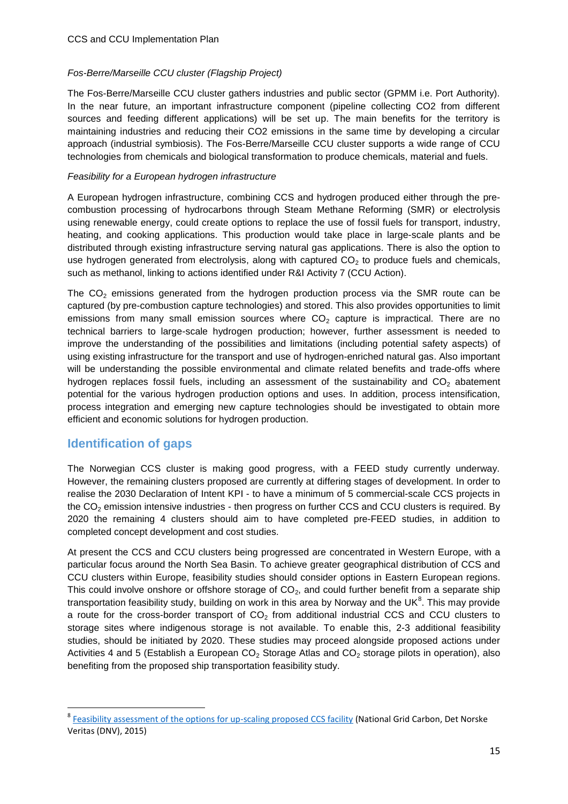#### *Fos-Berre/Marseille CCU cluster (Flagship Project)*

The Fos-Berre/Marseille CCU cluster gathers industries and public sector (GPMM i.e. Port Authority). In the near future, an important infrastructure component (pipeline collecting CO2 from different sources and feeding different applications) will be set up. The main benefits for the territory is maintaining industries and reducing their CO2 emissions in the same time by developing a circular approach (industrial symbiosis). The Fos-Berre/Marseille CCU cluster supports a wide range of CCU technologies from chemicals and biological transformation to produce chemicals, material and fuels.

#### *Feasibility for a European hydrogen infrastructure*

A European hydrogen infrastructure, combining CCS and hydrogen produced either through the precombustion processing of hydrocarbons through Steam Methane Reforming (SMR) or electrolysis using renewable energy, could create options to replace the use of fossil fuels for transport, industry, heating, and cooking applications. This production would take place in large-scale plants and be distributed through existing infrastructure serving natural gas applications. There is also the option to use hydrogen generated from electrolysis, along with captured  $CO<sub>2</sub>$  to produce fuels and chemicals, such as methanol, linking to actions identified under R&I Activity 7 (CCU Action).

The  $CO<sub>2</sub>$  emissions generated from the hydrogen production process via the SMR route can be captured (by pre-combustion capture technologies) and stored. This also provides opportunities to limit emissions from many small emission sources where  $CO<sub>2</sub>$  capture is impractical. There are no technical barriers to large-scale hydrogen production; however, further assessment is needed to improve the understanding of the possibilities and limitations (including potential safety aspects) of using existing infrastructure for the transport and use of hydrogen-enriched natural gas. Also important will be understanding the possible environmental and climate related benefits and trade-offs where hydrogen replaces fossil fuels, including an assessment of the sustainability and  $CO<sub>2</sub>$  abatement potential for the various hydrogen production options and uses. In addition, process intensification, process integration and emerging new capture technologies should be investigated to obtain more efficient and economic solutions for hydrogen production.

#### <span id="page-14-0"></span>**Identification of gaps**

1

The Norwegian CCS cluster is making good progress, with a FEED study currently underway. However, the remaining clusters proposed are currently at differing stages of development. In order to realise the 2030 Declaration of Intent KPI - to have a minimum of 5 commercial-scale CCS projects in the  $CO<sub>2</sub>$  emission intensive industries - then progress on further CCS and CCU clusters is required. By 2020 the remaining 4 clusters should aim to have completed pre-FEED studies, in addition to completed concept development and cost studies.

At present the CCS and CCU clusters being progressed are concentrated in Western Europe, with a particular focus around the North Sea Basin. To achieve greater geographical distribution of CCS and CCU clusters within Europe, feasibility studies should consider options in Eastern European regions. This could involve onshore or offshore storage of  $CO<sub>2</sub>$ , and could further benefit from a separate ship transportation feasibility study, building on work in this area by Norway and the UK $^8$ . This may provide a route for the cross-border transport of  $CO<sub>2</sub>$  from additional industrial CCS and CCU clusters to storage sites where indigenous storage is not available. To enable this, 2-3 additional feasibility studies, should be initiated by 2020. These studies may proceed alongside proposed actions under Activities 4 and 5 (Establish a European CO<sub>2</sub> Storage Atlas and CO<sub>2</sub> storage pilots in operation), also benefiting from the proposed ship transportation feasibility study.

<sup>&</sup>lt;sup>8</sup> [Feasibility assessment of the options for up-scaling proposed CCS facility](http://ccsnetwork.eu/publications/feasibility-assessment-options-scaling-proposed-ccs-facility) (National Grid Carbon, Det Norske Veritas (DNV), 2015)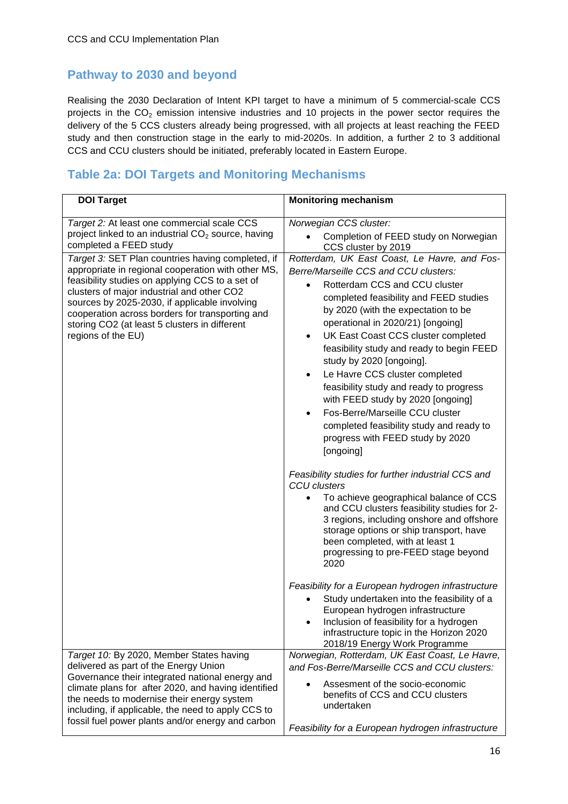### <span id="page-15-0"></span>**Pathway to 2030 and beyond**

Realising the 2030 Declaration of Intent KPI target to have a minimum of 5 commercial-scale CCS projects in the  $CO<sub>2</sub>$  emission intensive industries and 10 projects in the power sector requires the delivery of the 5 CCS clusters already being progressed, with all projects at least reaching the FEED study and then construction stage in the early to mid-2020s. In addition, a further 2 to 3 additional CCS and CCU clusters should be initiated, preferably located in Eastern Europe.

### <span id="page-15-1"></span>**Table 2a: DOI Targets and Monitoring Mechanisms**

| <b>DOI Target</b>                                                                                                                                                                                                                                                                                                                                                                   | <b>Monitoring mechanism</b>                                                                                                                                                                                                                                                                                                                                                                                                                                                                                                                                                                                                                           |
|-------------------------------------------------------------------------------------------------------------------------------------------------------------------------------------------------------------------------------------------------------------------------------------------------------------------------------------------------------------------------------------|-------------------------------------------------------------------------------------------------------------------------------------------------------------------------------------------------------------------------------------------------------------------------------------------------------------------------------------------------------------------------------------------------------------------------------------------------------------------------------------------------------------------------------------------------------------------------------------------------------------------------------------------------------|
| Target 2: At least one commercial scale CCS<br>project linked to an industrial CO <sub>2</sub> source, having<br>completed a FEED study                                                                                                                                                                                                                                             | Norwegian CCS cluster:<br>Completion of FEED study on Norwegian<br>CCS cluster by 2019                                                                                                                                                                                                                                                                                                                                                                                                                                                                                                                                                                |
| Target 3: SET Plan countries having completed, if<br>appropriate in regional cooperation with other MS,<br>feasibility studies on applying CCS to a set of<br>clusters of major industrial and other CO2<br>sources by 2025-2030, if applicable involving<br>cooperation across borders for transporting and<br>storing CO2 (at least 5 clusters in different<br>regions of the EU) | Rotterdam, UK East Coast, Le Havre, and Fos-<br>Berre/Marseille CCS and CCU clusters:<br>Rotterdam CCS and CCU cluster<br>$\bullet$<br>completed feasibility and FEED studies<br>by 2020 (with the expectation to be<br>operational in 2020/21) [ongoing]<br>UK East Coast CCS cluster completed<br>$\bullet$<br>feasibility study and ready to begin FEED<br>study by 2020 [ongoing].<br>Le Havre CCS cluster completed<br>$\bullet$<br>feasibility study and ready to progress<br>with FEED study by 2020 [ongoing]<br>Fos-Berre/Marseille CCU cluster<br>completed feasibility study and ready to<br>progress with FEED study by 2020<br>[ongoing] |
|                                                                                                                                                                                                                                                                                                                                                                                     | Feasibility studies for further industrial CCS and<br><b>CCU</b> clusters<br>To achieve geographical balance of CCS<br>$\bullet$<br>and CCU clusters feasibility studies for 2-<br>3 regions, including onshore and offshore<br>storage options or ship transport, have<br>been completed, with at least 1<br>progressing to pre-FEED stage beyond<br>2020                                                                                                                                                                                                                                                                                            |
|                                                                                                                                                                                                                                                                                                                                                                                     | Feasibility for a European hydrogen infrastructure<br>Study undertaken into the feasibility of a<br>European hydrogen infrastructure<br>Inclusion of feasibility for a hydrogen<br>infrastructure topic in the Horizon 2020<br>2018/19 Energy Work Programme                                                                                                                                                                                                                                                                                                                                                                                          |
| Target 10: By 2020, Member States having<br>delivered as part of the Energy Union<br>Governance their integrated national energy and<br>climate plans for after 2020, and having identified<br>the needs to modernise their energy system<br>including, if applicable, the need to apply CCS to<br>fossil fuel power plants and/or energy and carbon                                | Norwegian, Rotterdam, UK East Coast, Le Havre,<br>and Fos-Berre/Marseille CCS and CCU clusters:<br>Assesment of the socio-economic<br>benefits of CCS and CCU clusters<br>undertaken<br>Feasibility for a European hydrogen infrastructure                                                                                                                                                                                                                                                                                                                                                                                                            |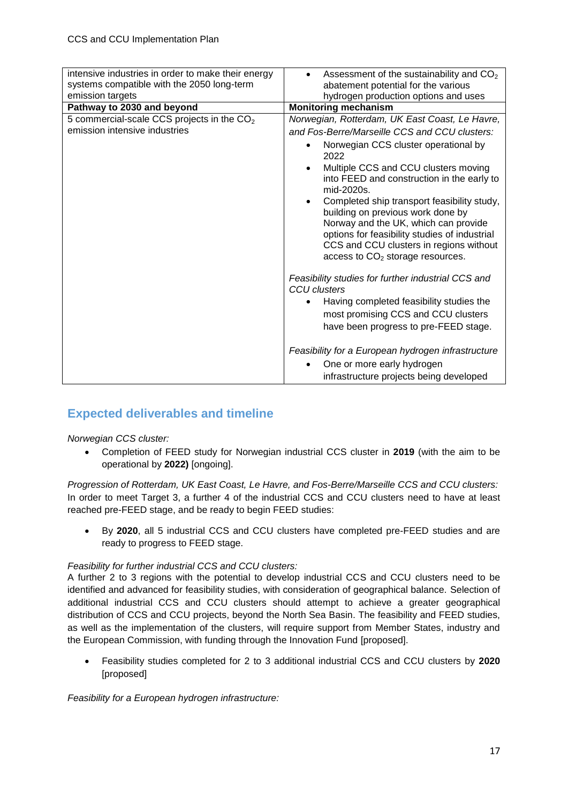| intensive industries in order to make their energy<br>systems compatible with the 2050 long-term | Assessment of the sustainability and $CO2$<br>$\bullet$<br>abatement potential for the various                                                                                                                                                                          |
|--------------------------------------------------------------------------------------------------|-------------------------------------------------------------------------------------------------------------------------------------------------------------------------------------------------------------------------------------------------------------------------|
| emission targets                                                                                 | hydrogen production options and uses                                                                                                                                                                                                                                    |
| Pathway to 2030 and beyond                                                                       | <b>Monitoring mechanism</b>                                                                                                                                                                                                                                             |
| 5 commercial-scale CCS projects in the $CO2$                                                     | Norwegian, Rotterdam, UK East Coast, Le Havre,                                                                                                                                                                                                                          |
| emission intensive industries                                                                    | and Fos-Berre/Marseille CCS and CCU clusters:                                                                                                                                                                                                                           |
|                                                                                                  | Norwegian CCS cluster operational by<br>$\bullet$<br>2022                                                                                                                                                                                                               |
|                                                                                                  | Multiple CCS and CCU clusters moving<br>$\bullet$<br>into FEED and construction in the early to<br>mid-2020s.                                                                                                                                                           |
|                                                                                                  | Completed ship transport feasibility study,<br>$\bullet$<br>building on previous work done by<br>Norway and the UK, which can provide<br>options for feasibility studies of industrial<br>CCS and CCU clusters in regions without<br>access to $CO2$ storage resources. |
|                                                                                                  | Feasibility studies for further industrial CCS and<br><b>CCU</b> clusters                                                                                                                                                                                               |
|                                                                                                  | Having completed feasibility studies the<br>most promising CCS and CCU clusters<br>have been progress to pre-FEED stage.                                                                                                                                                |
|                                                                                                  | Feasibility for a European hydrogen infrastructure                                                                                                                                                                                                                      |
|                                                                                                  | One or more early hydrogen                                                                                                                                                                                                                                              |
|                                                                                                  | infrastructure projects being developed                                                                                                                                                                                                                                 |

### <span id="page-16-0"></span>**Expected deliverables and timeline**

#### *Norwegian CCS cluster:*

 Completion of FEED study for Norwegian industrial CCS cluster in **2019** (with the aim to be operational by **2022)** [ongoing].

*Progression of Rotterdam, UK East Coast, Le Havre, and Fos-Berre/Marseille CCS and CCU clusters:*  In order to meet Target 3, a further 4 of the industrial CCS and CCU clusters need to have at least reached pre-FEED stage, and be ready to begin FEED studies:

 By **2020**, all 5 industrial CCS and CCU clusters have completed pre-FEED studies and are ready to progress to FEED stage.

#### *Feasibility for further industrial CCS and CCU clusters:*

A further 2 to 3 regions with the potential to develop industrial CCS and CCU clusters need to be identified and advanced for feasibility studies, with consideration of geographical balance. Selection of additional industrial CCS and CCU clusters should attempt to achieve a greater geographical distribution of CCS and CCU projects, beyond the North Sea Basin. The feasibility and FEED studies, as well as the implementation of the clusters, will require support from Member States, industry and the European Commission, with funding through the Innovation Fund [proposed].

 Feasibility studies completed for 2 to 3 additional industrial CCS and CCU clusters by **2020**  [proposed]

*Feasibility for a European hydrogen infrastructure:*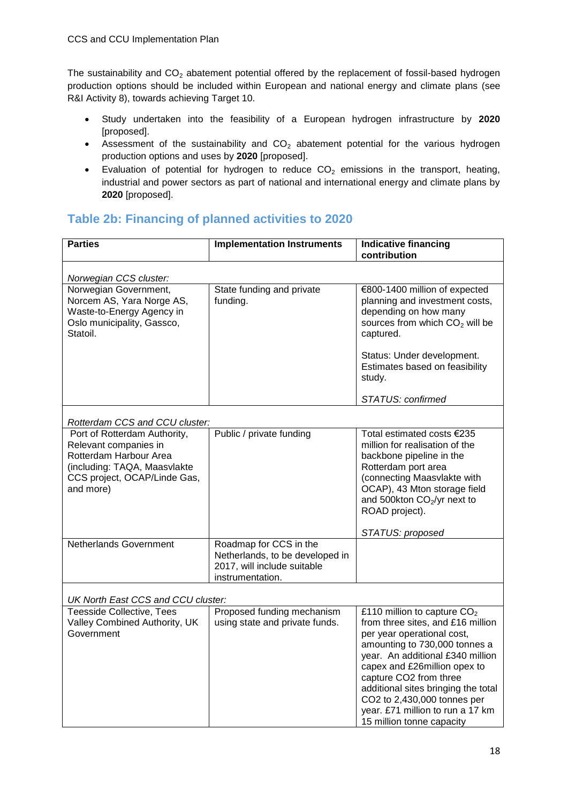The sustainability and  $CO<sub>2</sub>$  abatement potential offered by the replacement of fossil-based hydrogen production options should be included within European and national energy and climate plans (see R&I Activity 8), towards achieving Target 10.

- Study undertaken into the feasibility of a European hydrogen infrastructure by **2020** [proposed].
- Assessment of the sustainability and  $CO<sub>2</sub>$  abatement potential for the various hydrogen production options and uses by **2020** [proposed].
- Evaluation of potential for hydrogen to reduce  $CO<sub>2</sub>$  emissions in the transport, heating, industrial and power sectors as part of national and international energy and climate plans by **2020** [proposed].

#### <span id="page-17-0"></span>**Table 2b: Financing of planned activities to 2020**

| <b>Parties</b>                                                                                                                                               | <b>Implementation Instruments</b>                                                                            | <b>Indicative financing</b><br>contribution                                                                                                                                                                                                                                                                                                                            |  |
|--------------------------------------------------------------------------------------------------------------------------------------------------------------|--------------------------------------------------------------------------------------------------------------|------------------------------------------------------------------------------------------------------------------------------------------------------------------------------------------------------------------------------------------------------------------------------------------------------------------------------------------------------------------------|--|
| Norwegian CCS cluster:                                                                                                                                       |                                                                                                              |                                                                                                                                                                                                                                                                                                                                                                        |  |
| Norwegian Government,<br>Norcem AS, Yara Norge AS,<br>Waste-to-Energy Agency in<br>Oslo municipality, Gassco,<br>Statoil.                                    | State funding and private<br>funding.                                                                        | €800-1400 million of expected<br>planning and investment costs,<br>depending on how many<br>sources from which CO <sub>2</sub> will be<br>captured.                                                                                                                                                                                                                    |  |
|                                                                                                                                                              |                                                                                                              | Status: Under development.<br>Estimates based on feasibility<br>study.                                                                                                                                                                                                                                                                                                 |  |
|                                                                                                                                                              |                                                                                                              | STATUS: confirmed                                                                                                                                                                                                                                                                                                                                                      |  |
| Rotterdam CCS and CCU cluster:                                                                                                                               |                                                                                                              |                                                                                                                                                                                                                                                                                                                                                                        |  |
| Port of Rotterdam Authority,<br>Relevant companies in<br>Rotterdam Harbour Area<br>(including: TAQA, Maasvlakte<br>CCS project, OCAP/Linde Gas,<br>and more) | Public / private funding                                                                                     | Total estimated costs €235<br>million for realisation of the<br>backbone pipeline in the<br>Rotterdam port area<br>(connecting Maasvlakte with<br>OCAP), 43 Mton storage field<br>and 500kton $CO2/yr$ next to<br>ROAD project).                                                                                                                                       |  |
|                                                                                                                                                              |                                                                                                              | STATUS: proposed                                                                                                                                                                                                                                                                                                                                                       |  |
| Netherlands Government                                                                                                                                       | Roadmap for CCS in the<br>Netherlands, to be developed in<br>2017, will include suitable<br>instrumentation. |                                                                                                                                                                                                                                                                                                                                                                        |  |
| UK North East CCS and CCU cluster:                                                                                                                           |                                                                                                              |                                                                                                                                                                                                                                                                                                                                                                        |  |
| <b>Teesside Collective, Tees</b><br>Valley Combined Authority, UK<br>Government                                                                              | Proposed funding mechanism<br>using state and private funds.                                                 | £110 million to capture $CO2$<br>from three sites, and £16 million<br>per year operational cost,<br>amounting to 730,000 tonnes a<br>year. An additional £340 million<br>capex and £26million opex to<br>capture CO2 from three<br>additional sites bringing the total<br>CO2 to 2,430,000 tonnes per<br>year. £71 million to run a 17 km<br>15 million tonne capacity |  |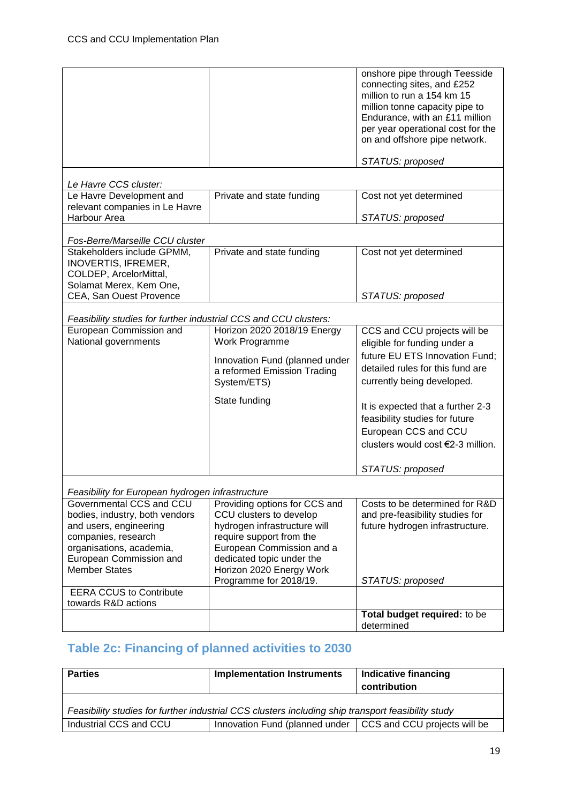|                                                                  |                                | onshore pipe through Teesside     |
|------------------------------------------------------------------|--------------------------------|-----------------------------------|
|                                                                  |                                | connecting sites, and £252        |
|                                                                  |                                | million to run a 154 km 15        |
|                                                                  |                                |                                   |
|                                                                  |                                | million tonne capacity pipe to    |
|                                                                  |                                | Endurance, with an £11 million    |
|                                                                  |                                | per year operational cost for the |
|                                                                  |                                | on and offshore pipe network.     |
|                                                                  |                                |                                   |
|                                                                  |                                | STATUS: proposed                  |
|                                                                  |                                |                                   |
| Le Havre CCS cluster:                                            |                                |                                   |
|                                                                  |                                |                                   |
| Le Havre Development and                                         | Private and state funding      | Cost not yet determined           |
| relevant companies in Le Havre                                   |                                |                                   |
| Harbour Area                                                     |                                | STATUS: proposed                  |
|                                                                  |                                |                                   |
| Fos-Berre/Marseille CCU cluster                                  |                                |                                   |
| Stakeholders include GPMM,                                       | Private and state funding      | Cost not yet determined           |
| <b>INOVERTIS, IFREMER,</b>                                       |                                |                                   |
| COLDEP, ArcelorMittal,                                           |                                |                                   |
| Solamat Merex, Kem One,                                          |                                |                                   |
| CEA, San Ouest Provence                                          |                                | STATUS: proposed                  |
|                                                                  |                                |                                   |
|                                                                  |                                |                                   |
| Feasibility studies for further industrial CCS and CCU clusters: |                                |                                   |
| European Commission and                                          | Horizon 2020 2018/19 Energy    | CCS and CCU projects will be      |
| National governments                                             | Work Programme                 | eligible for funding under a      |
|                                                                  |                                | future EU ETS Innovation Fund:    |
|                                                                  | Innovation Fund (planned under |                                   |
|                                                                  | a reformed Emission Trading    | detailed rules for this fund are  |
|                                                                  | System/ETS)                    | currently being developed.        |
|                                                                  |                                |                                   |
|                                                                  | State funding                  | It is expected that a further 2-3 |
|                                                                  |                                |                                   |
|                                                                  |                                | feasibility studies for future    |
|                                                                  |                                | European CCS and CCU              |
|                                                                  |                                | clusters would cost €2-3 million. |
|                                                                  |                                |                                   |
|                                                                  |                                |                                   |
|                                                                  |                                | STATUS: proposed                  |
|                                                                  |                                |                                   |
| Feasibility for European hydrogen infrastructure                 |                                |                                   |
| Governmental CCS and CCU                                         | Providing options for CCS and  | Costs to be determined for R&D    |
| bodies, industry, both vendors                                   | CCU clusters to develop        | and pre-feasibility studies for   |
| and users, engineering                                           | hydrogen infrastructure will   | future hydrogen infrastructure.   |
| companies, research                                              | require support from the       |                                   |
| organisations, academia,                                         | European Commission and a      |                                   |
| European Commission and                                          | dedicated topic under the      |                                   |
| <b>Member States</b>                                             |                                |                                   |
|                                                                  | Horizon 2020 Energy Work       |                                   |
|                                                                  | Programme for 2018/19.         | STATUS: proposed                  |
| <b>EERA CCUS to Contribute</b>                                   |                                |                                   |
| towards R&D actions                                              |                                |                                   |
|                                                                  |                                | Total budget required: to be      |
|                                                                  |                                | determined                        |

## <span id="page-18-0"></span>**Table 2c: Financing of planned activities to 2030**

| <b>Parties</b>                                                                                     | <b>Implementation Instruments</b> | Indicative financing<br>contribution |  |
|----------------------------------------------------------------------------------------------------|-----------------------------------|--------------------------------------|--|
| Feasibility studies for further industrial CCS clusters including ship transport feasibility study |                                   |                                      |  |
| Industrial CCS and CCU                                                                             | Innovation Fund (planned under    | CCS and CCU projects will be         |  |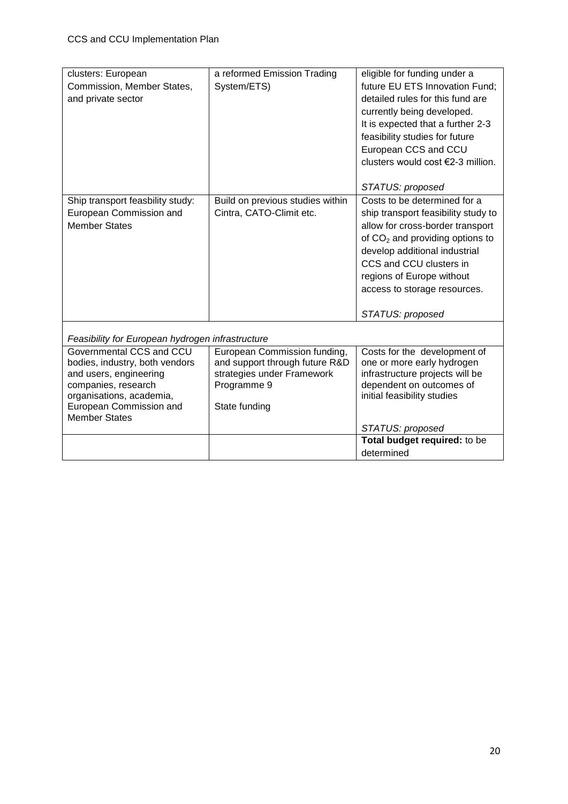| clusters: European                               | a reformed Emission Trading      | eligible for funding under a        |
|--------------------------------------------------|----------------------------------|-------------------------------------|
| Commission, Member States,                       | System/ETS)                      | future EU ETS Innovation Fund;      |
| and private sector                               |                                  | detailed rules for this fund are    |
|                                                  |                                  | currently being developed.          |
|                                                  |                                  | It is expected that a further 2-3   |
|                                                  |                                  | feasibility studies for future      |
|                                                  |                                  | European CCS and CCU                |
|                                                  |                                  | clusters would cost €2-3 million.   |
|                                                  |                                  |                                     |
|                                                  |                                  | STATUS: proposed                    |
| Ship transport feasbility study:                 | Build on previous studies within | Costs to be determined for a        |
| European Commission and                          | Cintra, CATO-Climit etc.         | ship transport feasibility study to |
| <b>Member States</b>                             |                                  | allow for cross-border transport    |
|                                                  |                                  | of $CO2$ and providing options to   |
|                                                  |                                  | develop additional industrial       |
|                                                  |                                  | CCS and CCU clusters in             |
|                                                  |                                  | regions of Europe without           |
|                                                  |                                  | access to storage resources.        |
|                                                  |                                  |                                     |
|                                                  |                                  | STATUS: proposed                    |
| Feasibility for European hydrogen infrastructure |                                  |                                     |
| Governmental CCS and CCU                         | European Commission funding,     | Costs for the development of        |
| bodies, industry, both vendors                   | and support through future R&D   | one or more early hydrogen          |
| and users, engineering                           | strategies under Framework       | infrastructure projects will be     |
| companies, research                              | Programme 9                      | dependent on outcomes of            |
| organisations, academia,                         |                                  | initial feasibility studies         |
| European Commission and                          | State funding                    |                                     |
| <b>Member States</b>                             |                                  | STATUS: proposed                    |
|                                                  |                                  | Total budget required: to be        |
|                                                  |                                  | determined                          |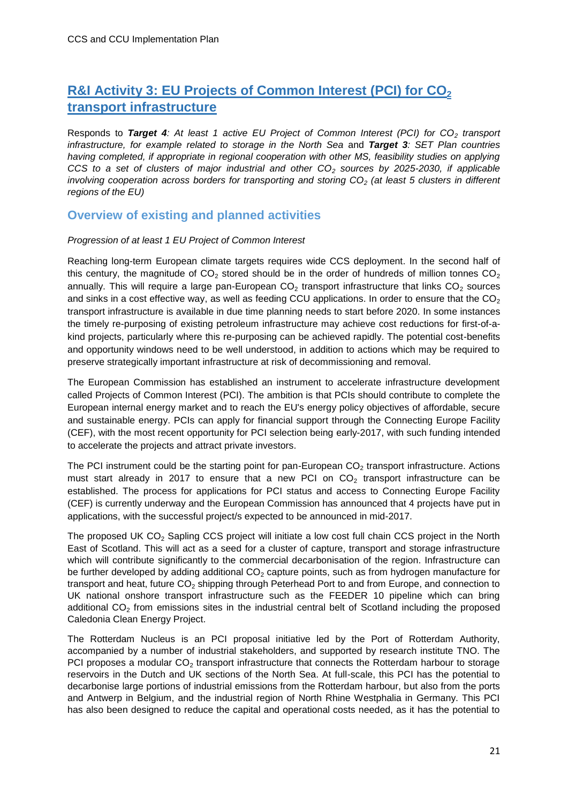## <span id="page-20-0"></span>**R&I Activity 3: EU Projects of Common Interest (PCI) for CO<sup>2</sup> transport infrastructure**

Responds to *Target 4: At least 1 active EU Project of Common Interest (PCI) for CO<sup>2</sup> transport infrastructure, for example related to storage in the North Sea* and *Target 3: SET Plan countries having completed, if appropriate in regional cooperation with other MS, feasibility studies on applying CCS to a set of clusters of major industrial and other CO<sup>2</sup> sources by 2025-2030, if applicable involving cooperation across borders for transporting and storing CO<sup>2</sup> (at least 5 clusters in different regions of the EU)*

#### <span id="page-20-1"></span>**Overview of existing and planned activities**

#### *Progression of at least 1 EU Project of Common Interest*

Reaching long-term European climate targets requires wide CCS deployment. In the second half of this century, the magnitude of  $CO<sub>2</sub>$  stored should be in the order of hundreds of million tonnes  $CO<sub>2</sub>$ annually. This will require a large pan-European  $CO<sub>2</sub>$  transport infrastructure that links  $CO<sub>2</sub>$  sources and sinks in a cost effective way, as well as feeding CCU applications. In order to ensure that the  $CO<sub>2</sub>$ transport infrastructure is available in due time planning needs to start before 2020. In some instances the timely re-purposing of existing petroleum infrastructure may achieve cost reductions for first-of-akind projects, particularly where this re-purposing can be achieved rapidly. The potential cost-benefits and opportunity windows need to be well understood, in addition to actions which may be required to preserve strategically important infrastructure at risk of decommissioning and removal.

The European Commission has established an instrument to accelerate infrastructure development called Projects of Common Interest (PCI). The ambition is that PCIs should contribute to complete the European internal energy market and to reach the EU's energy policy objectives of affordable, secure and sustainable energy. PCIs can apply for financial support through the Connecting Europe Facility (CEF), with the most recent opportunity for PCI selection being early-2017, with such funding intended to accelerate the projects and attract private investors.

The PCI instrument could be the starting point for pan-European  $CO<sub>2</sub>$  transport infrastructure. Actions must start already in 2017 to ensure that a new PCI on  $CO<sub>2</sub>$  transport infrastructure can be established. The process for applications for PCI status and access to Connecting Europe Facility (CEF) is currently underway and the European Commission has announced that 4 projects have put in applications, with the successful project/s expected to be announced in mid-2017.

The proposed UK  $CO<sub>2</sub>$  Sapling CCS project will initiate a low cost full chain CCS project in the North East of Scotland. This will act as a seed for a cluster of capture, transport and storage infrastructure which will contribute significantly to the commercial decarbonisation of the region. Infrastructure can be further developed by adding additional  $CO<sub>2</sub>$  capture points, such as from hydrogen manufacture for transport and heat, future CO<sub>2</sub> shipping through Peterhead Port to and from Europe, and connection to UK national onshore transport infrastructure such as the FEEDER 10 pipeline which can bring additional  $CO<sub>2</sub>$  from emissions sites in the industrial central belt of Scotland including the proposed Caledonia Clean Energy Project.

The Rotterdam Nucleus is an PCI proposal initiative led by the Port of Rotterdam Authority, accompanied by a number of industrial stakeholders, and supported by research institute TNO. The PCI proposes a modular  $CO<sub>2</sub>$  transport infrastructure that connects the Rotterdam harbour to storage reservoirs in the Dutch and UK sections of the North Sea. At full-scale, this PCI has the potential to decarbonise large portions of industrial emissions from the Rotterdam harbour, but also from the ports and Antwerp in Belgium, and the industrial region of North Rhine Westphalia in Germany. This PCI has also been designed to reduce the capital and operational costs needed, as it has the potential to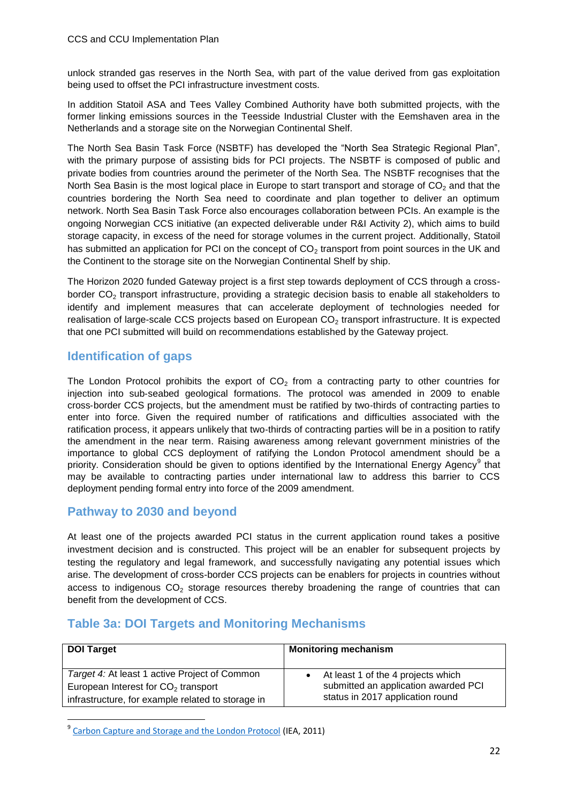unlock stranded gas reserves in the North Sea, with part of the value derived from gas exploitation being used to offset the PCI infrastructure investment costs.

In addition Statoil ASA and Tees Valley Combined Authority have both submitted projects, with the former linking emissions sources in the Teesside Industrial Cluster with the Eemshaven area in the Netherlands and a storage site on the Norwegian Continental Shelf.

The North Sea Basin Task Force (NSBTF) has developed the "North Sea Strategic Regional Plan", with the primary purpose of assisting bids for PCI projects. The NSBTF is composed of public and private bodies from countries around the perimeter of the North Sea. The NSBTF recognises that the North Sea Basin is the most logical place in Europe to start transport and storage of  $CO<sub>2</sub>$  and that the countries bordering the North Sea need to coordinate and plan together to deliver an optimum network. North Sea Basin Task Force also encourages collaboration between PCIs. An example is the ongoing Norwegian CCS initiative (an expected deliverable under R&I Activity 2), which aims to build storage capacity, in excess of the need for storage volumes in the current project. Additionally, Statoil has submitted an application for PCI on the concept of  $CO<sub>2</sub>$  transport from point sources in the UK and the Continent to the storage site on the Norwegian Continental Shelf by ship.

The Horizon 2020 funded Gateway project is a first step towards deployment of CCS through a crossborder  $CO<sub>2</sub>$  transport infrastructure, providing a strategic decision basis to enable all stakeholders to identify and implement measures that can accelerate deployment of technologies needed for realisation of large-scale CCS projects based on European  $CO<sub>2</sub>$  transport infrastructure. It is expected that one PCI submitted will build on recommendations established by the Gateway project.

#### <span id="page-21-0"></span>**Identification of gaps**

The London Protocol prohibits the export of  $CO<sub>2</sub>$  from a contracting party to other countries for injection into sub‐seabed geological formations. The protocol was amended in 2009 to enable cross‐border CCS projects, but the amendment must be ratified by two‐thirds of contracting parties to enter into force. Given the required number of ratifications and difficulties associated with the ratification process, it appears unlikely that two-thirds of contracting parties will be in a position to ratify the amendment in the near term. Raising awareness among relevant government ministries of the importance to global CCS deployment of ratifying the London Protocol amendment should be a priority. Consideration should be given to options identified by the International Energy Agency<sup>9</sup> that may be available to contracting parties under international law to address this barrier to CCS deployment pending formal entry into force of the 2009 amendment.

#### <span id="page-21-1"></span>**Pathway to 2030 and beyond**

**.** 

At least one of the projects awarded PCI status in the current application round takes a positive investment decision and is constructed. This project will be an enabler for subsequent projects by testing the regulatory and legal framework, and successfully navigating any potential issues which arise. The development of cross-border CCS projects can be enablers for projects in countries without access to indigenous  $CO<sub>2</sub>$  storage resources thereby broadening the range of countries that can benefit from the development of CCS.

### <span id="page-21-2"></span>**Table 3a: DOI Targets and Monitoring Mechanisms**

| <b>DOI Target</b>                                 | <b>Monitoring mechanism</b>          |
|---------------------------------------------------|--------------------------------------|
| Target 4: At least 1 active Project of Common     | At least 1 of the 4 projects which   |
| European Interest for $CO2$ transport             | submitted an application awarded PCI |
| infrastructure, for example related to storage in | status in 2017 application round     |

9 [Carbon Capture and Storage and the London Protocol](https://www.iea.org/publications/freepublications/publication/CCS_London_Protocol.pdf) (IEA, 2011)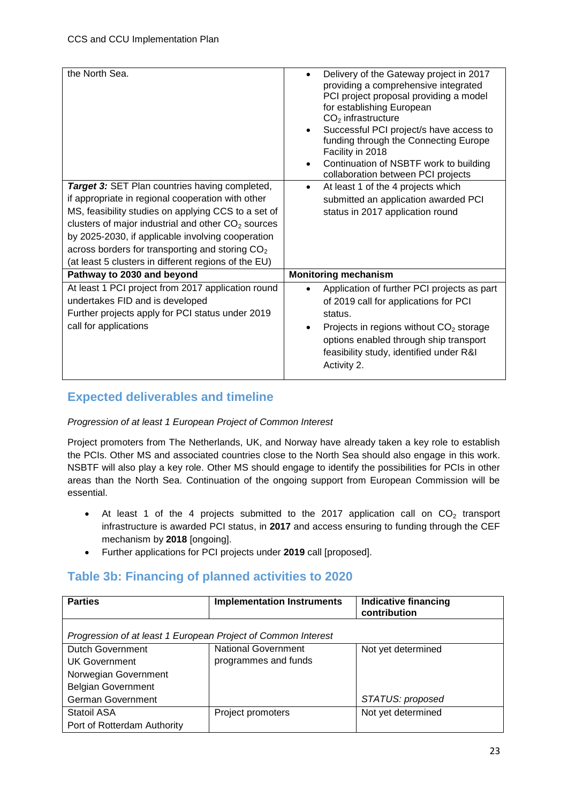| Delivery of the Gateway project in 2017<br>$\bullet$<br>providing a comprehensive integrated<br>PCI project proposal providing a model<br>for establishing European<br>$CO2$ infrastructure<br>Successful PCI project/s have access to<br>$\bullet$<br>funding through the Connecting Europe<br>Facility in 2018<br>Continuation of NSBTF work to building<br>$\bullet$<br>collaboration between PCI projects |
|---------------------------------------------------------------------------------------------------------------------------------------------------------------------------------------------------------------------------------------------------------------------------------------------------------------------------------------------------------------------------------------------------------------|
| At least 1 of the 4 projects which<br>$\bullet$                                                                                                                                                                                                                                                                                                                                                               |
| submitted an application awarded PCI                                                                                                                                                                                                                                                                                                                                                                          |
| status in 2017 application round                                                                                                                                                                                                                                                                                                                                                                              |
|                                                                                                                                                                                                                                                                                                                                                                                                               |
|                                                                                                                                                                                                                                                                                                                                                                                                               |
|                                                                                                                                                                                                                                                                                                                                                                                                               |
|                                                                                                                                                                                                                                                                                                                                                                                                               |
| <b>Monitoring mechanism</b>                                                                                                                                                                                                                                                                                                                                                                                   |
| Application of further PCI projects as part<br>$\bullet$<br>of 2019 call for applications for PCI<br>status.<br>Projects in regions without CO <sub>2</sub> storage<br>$\bullet$<br>options enabled through ship transport<br>feasibility study, identified under R&I<br>Activity 2.                                                                                                                          |
|                                                                                                                                                                                                                                                                                                                                                                                                               |

### <span id="page-22-0"></span>**Expected deliverables and timeline**

#### *Progression of at least 1 European Project of Common Interest*

Project promoters from The Netherlands, UK, and Norway have already taken a key role to establish the PCIs. Other MS and associated countries close to the North Sea should also engage in this work. NSBTF will also play a key role. Other MS should engage to identify the possibilities for PCIs in other areas than the North Sea. Continuation of the ongoing support from European Commission will be essential.

- At least 1 of the 4 projects submitted to the 2017 application call on  $CO<sub>2</sub>$  transport infrastructure is awarded PCI status, in **2017** and access ensuring to funding through the CEF mechanism by **2018** [ongoing].
- Further applications for PCI projects under **2019** call [proposed].

### <span id="page-22-1"></span>**Table 3b: Financing of planned activities to 2020**

| <b>Parties</b>                                                | <b>Implementation Instruments</b> | <b>Indicative financing</b><br>contribution |
|---------------------------------------------------------------|-----------------------------------|---------------------------------------------|
| Progression of at least 1 European Project of Common Interest |                                   |                                             |
| <b>Dutch Government</b>                                       | <b>National Government</b>        | Not yet determined                          |
| UK Government                                                 | programmes and funds              |                                             |
| Norwegian Government                                          |                                   |                                             |
| <b>Belgian Government</b>                                     |                                   |                                             |
| <b>German Government</b>                                      |                                   | STATUS: proposed                            |
| <b>Statoil ASA</b>                                            | Project promoters                 | Not yet determined                          |
| Port of Rotterdam Authority                                   |                                   |                                             |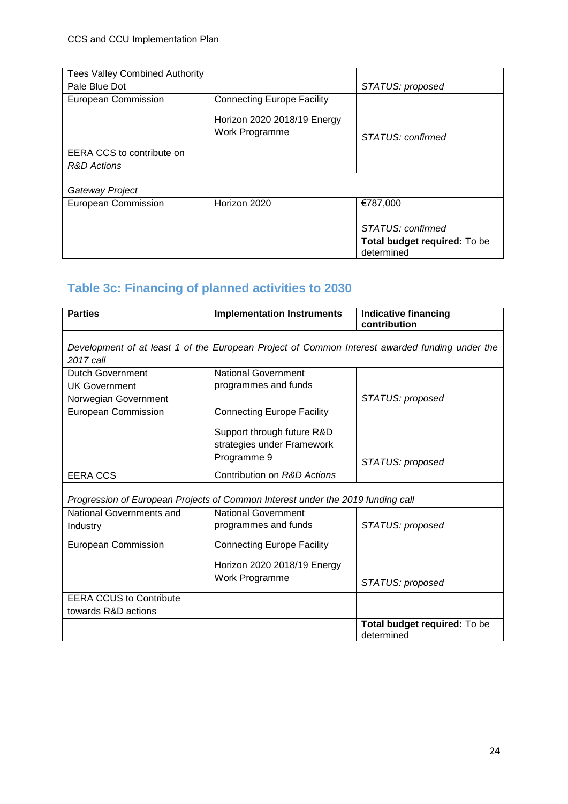| <b>Tees Valley Combined Authority</b> |                                   |                                     |
|---------------------------------------|-----------------------------------|-------------------------------------|
| Pale Blue Dot                         |                                   | STATUS: proposed                    |
| European Commission                   | <b>Connecting Europe Facility</b> |                                     |
|                                       | Horizon 2020 2018/19 Energy       |                                     |
|                                       |                                   |                                     |
|                                       | Work Programme                    | STATUS: confirmed                   |
| EERA CCS to contribute on             |                                   |                                     |
| R&D Actions                           |                                   |                                     |
|                                       |                                   |                                     |
| Gateway Project                       |                                   |                                     |
| <b>European Commission</b>            | Horizon 2020                      | €787,000                            |
|                                       |                                   |                                     |
|                                       |                                   | STATUS: confirmed                   |
|                                       |                                   | <b>Total budget required:</b> To be |
|                                       |                                   | determined                          |

## <span id="page-23-0"></span>**Table 3c: Financing of planned activities to 2030**

| <b>Parties</b>                                                                                              | <b>Implementation Instruments</b>                                                  | <b>Indicative financing</b><br>contribution |
|-------------------------------------------------------------------------------------------------------------|------------------------------------------------------------------------------------|---------------------------------------------|
| Development of at least 1 of the European Project of Common Interest awarded funding under the<br>2017 call |                                                                                    |                                             |
| Dutch Government                                                                                            | <b>National Government</b>                                                         |                                             |
| <b>UK Government</b>                                                                                        | programmes and funds                                                               |                                             |
| Norwegian Government                                                                                        |                                                                                    | STATUS: proposed                            |
| <b>European Commission</b>                                                                                  | <b>Connecting Europe Facility</b>                                                  |                                             |
|                                                                                                             | Support through future R&D<br>strategies under Framework<br>Programme 9            | STATUS: proposed                            |
| <b>EERA CCS</b>                                                                                             | Contribution on R&D Actions                                                        |                                             |
| Progression of European Projects of Common Interest under the 2019 funding call                             |                                                                                    |                                             |
| National Governments and                                                                                    | <b>National Government</b>                                                         |                                             |
| Industry                                                                                                    | programmes and funds                                                               | STATUS: proposed                            |
| European Commission                                                                                         | <b>Connecting Europe Facility</b><br>Horizon 2020 2018/19 Energy<br>Work Programme | STATUS: proposed                            |
| <b>EERA CCUS to Contribute</b>                                                                              |                                                                                    |                                             |
| towards R&D actions                                                                                         |                                                                                    |                                             |
|                                                                                                             |                                                                                    | Total budget required: To be<br>determined  |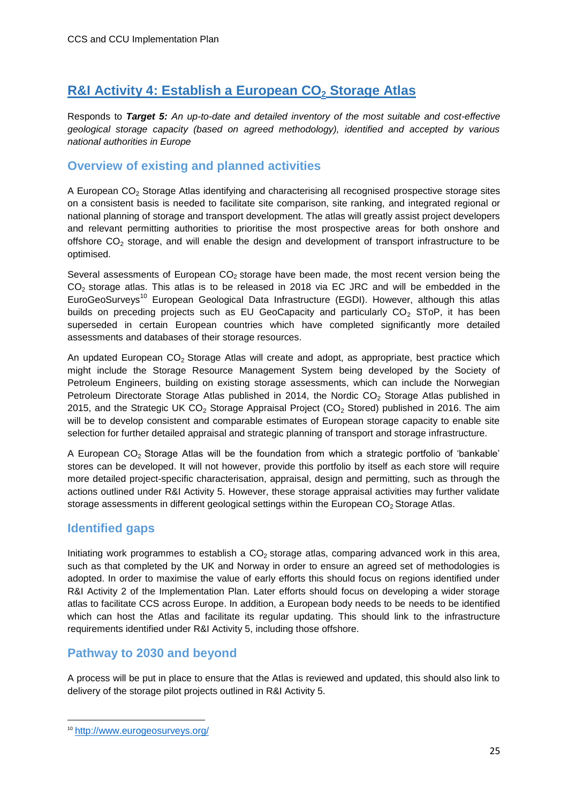### <span id="page-24-0"></span>**R&I Activity 4: Establish a European CO<sup>2</sup> Storage Atlas**

Responds to *Target 5: An up-to-date and detailed inventory of the most suitable and cost-effective geological storage capacity (based on agreed methodology), identified and accepted by various national authorities in Europe*

#### <span id="page-24-1"></span>**Overview of existing and planned activities**

A European  $CO<sub>2</sub>$  Storage Atlas identifying and characterising all recognised prospective storage sites on a consistent basis is needed to facilitate site comparison, site ranking, and integrated regional or national planning of storage and transport development. The atlas will greatly assist project developers and relevant permitting authorities to prioritise the most prospective areas for both onshore and offshore  $CO<sub>2</sub>$  storage, and will enable the design and development of transport infrastructure to be optimised.

Several assessments of European  $CO<sub>2</sub>$  storage have been made, the most recent version being the  $CO<sub>2</sub>$  storage atlas. This atlas is to be released in 2018 via EC JRC and will be embedded in the EuroGeoSurveys<sup>10</sup> European Geological Data Infrastructure (EGDI). However, although this atlas builds on preceding projects such as EU GeoCapacity and particularly  $CO<sub>2</sub>$  SToP, it has been superseded in certain European countries which have completed significantly more detailed assessments and databases of their storage resources.

An updated European  $CO<sub>2</sub>$  Storage Atlas will create and adopt, as appropriate, best practice which might include the Storage Resource Management System being developed by the Society of Petroleum Engineers, building on existing storage assessments, which can include the Norwegian Petroleum Directorate Storage Atlas published in 2014, the Nordic CO<sub>2</sub> Storage Atlas published in 2015, and the Strategic UK  $CO<sub>2</sub>$  Storage Appraisal Project (CO<sub>2</sub> Stored) published in 2016. The aim will be to develop consistent and comparable estimates of European storage capacity to enable site selection for further detailed appraisal and strategic planning of transport and storage infrastructure.

A European  $CO<sub>2</sub>$  Storage Atlas will be the foundation from which a strategic portfolio of 'bankable' stores can be developed. It will not however, provide this portfolio by itself as each store will require more detailed project-specific characterisation, appraisal, design and permitting, such as through the actions outlined under R&I Activity 5. However, these storage appraisal activities may further validate storage assessments in different geological settings within the European  $CO<sub>2</sub>$  Storage Atlas.

#### <span id="page-24-2"></span>**Identified gaps**

Initiating work programmes to establish a  $CO<sub>2</sub>$  storage atlas, comparing advanced work in this area, such as that completed by the UK and Norway in order to ensure an agreed set of methodologies is adopted. In order to maximise the value of early efforts this should focus on regions identified under R&I Activity 2 of the Implementation Plan. Later efforts should focus on developing a wider storage atlas to facilitate CCS across Europe. In addition, a European body needs to be needs to be identified which can host the Atlas and facilitate its regular updating. This should link to the infrastructure requirements identified under R&I Activity 5, including those offshore.

#### <span id="page-24-3"></span>**Pathway to 2030 and beyond**

A process will be put in place to ensure that the Atlas is reviewed and updated, this should also link to delivery of the storage pilot projects outlined in R&I Activity 5.

**.** 

<sup>10</sup> <http://www.eurogeosurveys.org/>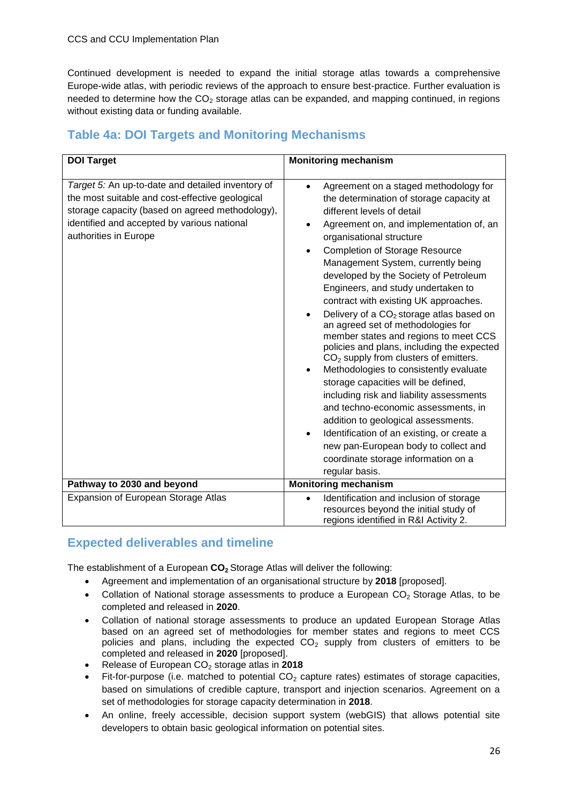Continued development is needed to expand the initial storage atlas towards a comprehensive Europe-wide atlas, with periodic reviews of the approach to ensure best-practice. Further evaluation is needed to determine how the  $CO<sub>2</sub>$  storage atlas can be expanded, and mapping continued, in regions without existing data or funding available.

### <span id="page-25-0"></span>**Table 4a: DOI Targets and Monitoring Mechanisms**

| <b>DOI Target</b>                                                                                                                                                                                                               | <b>Monitoring mechanism</b>                                                                                                                                                                                                                                                                                                                                                                                                                                                                                                                                                                                                                                                                                                                                                                                                                                                                                                                                                                                                                                           |
|---------------------------------------------------------------------------------------------------------------------------------------------------------------------------------------------------------------------------------|-----------------------------------------------------------------------------------------------------------------------------------------------------------------------------------------------------------------------------------------------------------------------------------------------------------------------------------------------------------------------------------------------------------------------------------------------------------------------------------------------------------------------------------------------------------------------------------------------------------------------------------------------------------------------------------------------------------------------------------------------------------------------------------------------------------------------------------------------------------------------------------------------------------------------------------------------------------------------------------------------------------------------------------------------------------------------|
|                                                                                                                                                                                                                                 |                                                                                                                                                                                                                                                                                                                                                                                                                                                                                                                                                                                                                                                                                                                                                                                                                                                                                                                                                                                                                                                                       |
| Target 5: An up-to-date and detailed inventory of<br>the most suitable and cost-effective geological<br>storage capacity (based on agreed methodology),<br>identified and accepted by various national<br>authorities in Europe | Agreement on a staged methodology for<br>$\bullet$<br>the determination of storage capacity at<br>different levels of detail<br>Agreement on, and implementation of, an<br>$\bullet$<br>organisational structure<br><b>Completion of Storage Resource</b><br>$\bullet$<br>Management System, currently being<br>developed by the Society of Petroleum<br>Engineers, and study undertaken to<br>contract with existing UK approaches.<br>Delivery of a CO <sub>2</sub> storage atlas based on<br>$\bullet$<br>an agreed set of methodologies for<br>member states and regions to meet CCS<br>policies and plans, including the expected<br>$CO2$ supply from clusters of emitters.<br>Methodologies to consistently evaluate<br>$\bullet$<br>storage capacities will be defined,<br>including risk and liability assessments<br>and techno-economic assessments, in<br>addition to geological assessments.<br>Identification of an existing, or create a<br>$\bullet$<br>new pan-European body to collect and<br>coordinate storage information on a<br>regular basis. |
| Pathway to 2030 and beyond                                                                                                                                                                                                      | <b>Monitoring mechanism</b>                                                                                                                                                                                                                                                                                                                                                                                                                                                                                                                                                                                                                                                                                                                                                                                                                                                                                                                                                                                                                                           |
| Expansion of European Storage Atlas                                                                                                                                                                                             | Identification and inclusion of storage<br>$\bullet$<br>resources beyond the initial study of<br>regions identified in R&I Activity 2.                                                                                                                                                                                                                                                                                                                                                                                                                                                                                                                                                                                                                                                                                                                                                                                                                                                                                                                                |

### <span id="page-25-1"></span>**Expected deliverables and timeline**

The establishment of a European **CO2** Storage Atlas will deliver the following:

- Agreement and implementation of an organisational structure by **2018** [proposed].
- Collation of National storage assessments to produce a European  $CO<sub>2</sub>$  Storage Atlas, to be completed and released in **2020**.
- Collation of national storage assessments to produce an updated European Storage Atlas based on an agreed set of methodologies for member states and regions to meet CCS policies and plans, including the expected  $CO<sub>2</sub>$  supply from clusters of emitters to be completed and released in **2020** [proposed].
- Release of European CO<sub>2</sub> storage atlas in 2018
- Fit-for-purpose (i.e. matched to potential  $CO<sub>2</sub>$  capture rates) estimates of storage capacities, based on simulations of credible capture, transport and injection scenarios. Agreement on a set of methodologies for storage capacity determination in **2018**.
- An online, freely accessible, decision support system (webGIS) that allows potential site developers to obtain basic geological information on potential sites.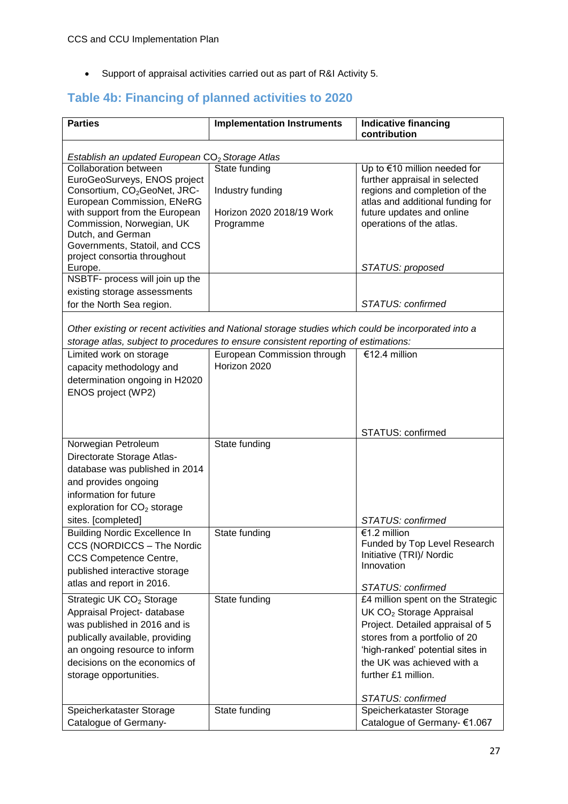Support of appraisal activities carried out as part of R&I Activity 5.

## <span id="page-26-0"></span>**Table 4b: Financing of planned activities to 2020**

| <b>Parties</b>                                                                              | <b>Implementation Instruments</b>                                                                   | Indicative financing<br>contribution                                     |  |
|---------------------------------------------------------------------------------------------|-----------------------------------------------------------------------------------------------------|--------------------------------------------------------------------------|--|
|                                                                                             |                                                                                                     |                                                                          |  |
| Establish an updated European CO <sub>2</sub> Storage Atlas<br><b>Collaboration between</b> | State funding                                                                                       | Up to €10 million needed for                                             |  |
| EuroGeoSurveys, ENOS project                                                                |                                                                                                     | further appraisal in selected                                            |  |
| Consortium, CO <sub>2</sub> GeoNet, JRC-<br>European Commission, ENeRG                      | Industry funding                                                                                    | regions and completion of the<br>atlas and additional funding for        |  |
| with support from the European                                                              | Horizon 2020 2018/19 Work                                                                           | future updates and online                                                |  |
| Commission, Norwegian, UK<br>Dutch, and German                                              | Programme                                                                                           | operations of the atlas.                                                 |  |
| Governments, Statoil, and CCS                                                               |                                                                                                     |                                                                          |  |
| project consortia throughout<br>Europe.                                                     |                                                                                                     | STATUS: proposed                                                         |  |
| NSBTF- process will join up the                                                             |                                                                                                     |                                                                          |  |
| existing storage assessments                                                                |                                                                                                     |                                                                          |  |
| for the North Sea region.                                                                   |                                                                                                     | STATUS: confirmed                                                        |  |
|                                                                                             | Other existing or recent activities and National storage studies which could be incorporated into a |                                                                          |  |
|                                                                                             | storage atlas, subject to procedures to ensure consistent reporting of estimations:                 |                                                                          |  |
| Limited work on storage                                                                     | European Commission through                                                                         | €12.4 million                                                            |  |
| capacity methodology and                                                                    | Horizon 2020                                                                                        |                                                                          |  |
| determination ongoing in H2020<br>ENOS project (WP2)                                        |                                                                                                     |                                                                          |  |
|                                                                                             |                                                                                                     |                                                                          |  |
|                                                                                             |                                                                                                     |                                                                          |  |
|                                                                                             |                                                                                                     | STATUS: confirmed                                                        |  |
| Norwegian Petroleum                                                                         | State funding                                                                                       |                                                                          |  |
| Directorate Storage Atlas-<br>database was published in 2014                                |                                                                                                     |                                                                          |  |
| and provides ongoing                                                                        |                                                                                                     |                                                                          |  |
| information for future                                                                      |                                                                                                     |                                                                          |  |
| exploration for CO <sub>2</sub> storage                                                     |                                                                                                     |                                                                          |  |
| sites. [completed]<br><b>Building Nordic Excellence In</b>                                  | State funding                                                                                       | STATUS: confirmed<br>€1.2 million                                        |  |
| CCS (NORDICCS – The Nordic                                                                  |                                                                                                     | Funded by Top Level Research                                             |  |
| CCS Competence Centre,                                                                      |                                                                                                     | Initiative (TRI)/ Nordic                                                 |  |
| published interactive storage                                                               |                                                                                                     | Innovation                                                               |  |
| atlas and report in 2016.                                                                   |                                                                                                     | STATUS: confirmed                                                        |  |
| Strategic UK CO <sub>2</sub> Storage                                                        | State funding                                                                                       | £4 million spent on the Strategic                                        |  |
| Appraisal Project- database<br>was published in 2016 and is                                 |                                                                                                     | UK CO <sub>2</sub> Storage Appraisal<br>Project. Detailed appraisal of 5 |  |
| publically available, providing                                                             |                                                                                                     | stores from a portfolio of 20                                            |  |
| an ongoing resource to inform                                                               |                                                                                                     | 'high-ranked' potential sites in                                         |  |
| decisions on the economics of                                                               |                                                                                                     | the UK was achieved with a                                               |  |
| storage opportunities.                                                                      |                                                                                                     | further £1 million.                                                      |  |
|                                                                                             |                                                                                                     | STATUS: confirmed                                                        |  |
| Speicherkataster Storage                                                                    | State funding                                                                                       | Speicherkataster Storage                                                 |  |
| Catalogue of Germany-                                                                       |                                                                                                     | Catalogue of Germany- €1.067                                             |  |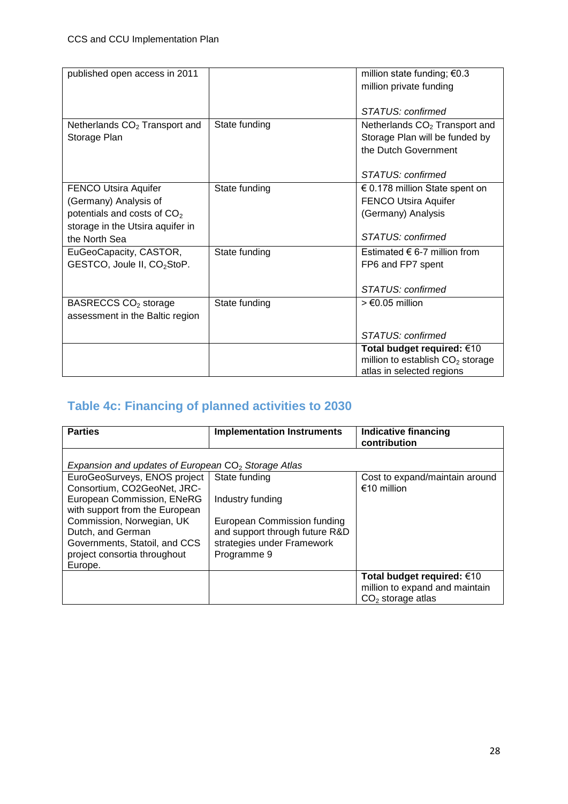| published open access in 2011             |               | million state funding; $€0.3$             |
|-------------------------------------------|---------------|-------------------------------------------|
|                                           |               | million private funding                   |
|                                           |               |                                           |
|                                           |               | STATUS: confirmed                         |
| Netherlands CO <sub>2</sub> Transport and | State funding | Netherlands CO <sub>2</sub> Transport and |
| Storage Plan                              |               | Storage Plan will be funded by            |
|                                           |               | the Dutch Government                      |
|                                           |               |                                           |
|                                           |               | STATUS: confirmed                         |
| <b>FENCO Utsira Aquifer</b>               | State funding | $\epsilon$ 0.178 million State spent on   |
| (Germany) Analysis of                     |               | <b>FENCO Utsira Aquifer</b>               |
| potentials and costs of CO <sub>2</sub>   |               | (Germany) Analysis                        |
| storage in the Utsira aquifer in          |               |                                           |
| the North Sea                             |               | STATUS: confirmed                         |
| EuGeoCapacity, CASTOR,                    | State funding | Estimated $\epsilon$ 6-7 million from     |
| GESTCO, Joule II, CO <sub>2</sub> StoP.   |               | FP6 and FP7 spent                         |
|                                           |               |                                           |
|                                           |               | STATUS: confirmed                         |
| BASRECCS CO <sub>2</sub> storage          | State funding | $>$ $\epsilon$ 0.05 million               |
| assessment in the Baltic region           |               |                                           |
|                                           |               | STATUS: confirmed                         |
|                                           |               | Total budget required: €10                |
|                                           |               | million to establish $CO2$ storage        |
|                                           |               | atlas in selected regions                 |

## <span id="page-27-0"></span>**Table 4c: Financing of planned activities to 2030**

| <b>Parties</b>                                        | <b>Implementation Instruments</b> | <b>Indicative financing</b><br>contribution |
|-------------------------------------------------------|-----------------------------------|---------------------------------------------|
| Expansion and updates of European $CO2$ Storage Atlas |                                   |                                             |
| EuroGeoSurveys, ENOS project                          | State funding                     | Cost to expand/maintain around              |
| Consortium, CO2GeoNet, JRC-                           |                                   | €10 million                                 |
| European Commission, ENeRG                            | Industry funding                  |                                             |
| with support from the European                        |                                   |                                             |
| Commission, Norwegian, UK                             | European Commission funding       |                                             |
| Dutch, and German                                     | and support through future R&D    |                                             |
| Governments, Statoil, and CCS                         | strategies under Framework        |                                             |
| project consortia throughout                          | Programme 9                       |                                             |
| Europe.                                               |                                   |                                             |
|                                                       |                                   | Total budget required: $€10$                |
|                                                       |                                   | million to expand and maintain              |
|                                                       |                                   | $CO2$ storage atlas                         |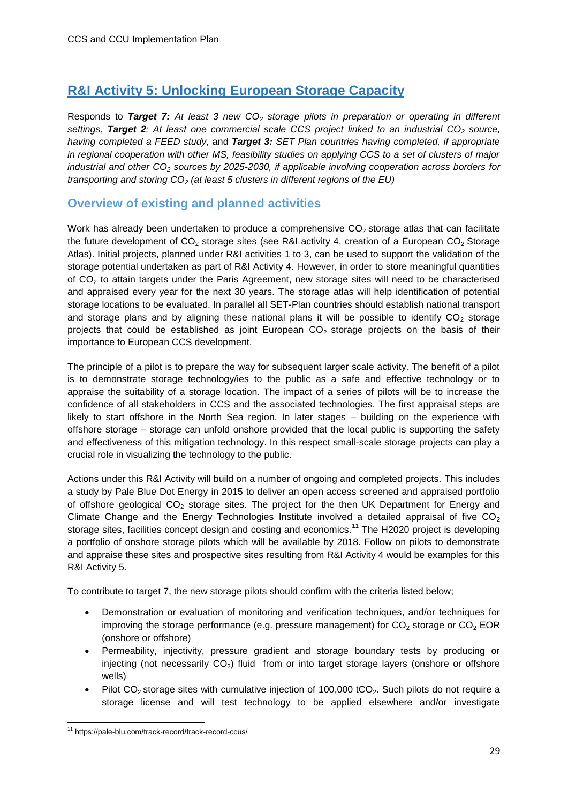## <span id="page-28-0"></span>**R&I Activity 5: Unlocking European Storage Capacity**

Responds to *Target 7: At least 3 new CO<sup>2</sup> storage pilots in preparation or operating in different settings*, *Target 2: At least one commercial scale CCS project linked to an industrial CO<sup>2</sup> source, having completed a FEED study,* and *Target 3: SET Plan countries having completed, if appropriate in regional cooperation with other MS, feasibility studies on applying CCS to a set of clusters of major industrial and other CO<sup>2</sup> sources by 2025-2030, if applicable involving cooperation across borders for transporting and storing CO<sup>2</sup> (at least 5 clusters in different regions of the EU)*

#### <span id="page-28-1"></span>**Overview of existing and planned activities**

Work has already been undertaken to produce a comprehensive  $CO<sub>2</sub>$  storage atlas that can facilitate the future development of  $CO<sub>2</sub>$  storage sites (see R&I activity 4, creation of a European  $CO<sub>2</sub>$  Storage Atlas). Initial projects, planned under R&I activities 1 to 3, can be used to support the validation of the storage potential undertaken as part of R&I Activity 4. However, in order to store meaningful quantities of CO<sup>2</sup> to attain targets under the Paris Agreement, new storage sites will need to be characterised and appraised every year for the next 30 years. The storage atlas will help identification of potential storage locations to be evaluated. In parallel all SET-Plan countries should establish national transport and storage plans and by aligning these national plans it will be possible to identify  $CO<sub>2</sub>$  storage projects that could be established as joint European  $CO<sub>2</sub>$  storage projects on the basis of their importance to European CCS development.

The principle of a pilot is to prepare the way for subsequent larger scale activity. The benefit of a pilot is to demonstrate storage technology/ies to the public as a safe and effective technology or to appraise the suitability of a storage location. The impact of a series of pilots will be to increase the confidence of all stakeholders in CCS and the associated technologies. The first appraisal steps are likely to start offshore in the North Sea region. In later stages – building on the experience with offshore storage – storage can unfold onshore provided that the local public is supporting the safety and effectiveness of this mitigation technology. In this respect small-scale storage projects can play a crucial role in visualizing the technology to the public.

Actions under this R&I Activity will build on a number of ongoing and completed projects. This includes a study by Pale Blue Dot Energy in 2015 to deliver an open access screened and appraised portfolio of offshore geological  $CO<sub>2</sub>$  storage sites. The project for the then UK Department for Energy and Climate Change and the Energy Technologies Institute involved a detailed appraisal of five  $CO<sub>2</sub>$ storage sites, facilities concept design and costing and economics.<sup>11</sup> The H2020 project is developing a portfolio of onshore storage pilots which will be available by 2018. Follow on pilots to demonstrate and appraise these sites and prospective sites resulting from R&I Activity 4 would be examples for this R&I Activity 5.

To contribute to target 7, the new storage pilots should confirm with the criteria listed below;

- Demonstration or evaluation of monitoring and verification techniques, and/or techniques for improving the storage performance (e.g. pressure management) for  $CO<sub>2</sub>$  storage or  $CO<sub>2</sub>$  EOR (onshore or offshore)
- Permeability, injectivity, pressure gradient and storage boundary tests by producing or injecting (not necessarily  $CO<sub>2</sub>$ ) fluid from or into target storage layers (onshore or offshore wells)
- Pilot  $CO<sub>2</sub>$  storage sites with cumulative injection of 100,000 tCO<sub>2</sub>. Such pilots do not require a storage license and will test technology to be applied elsewhere and/or investigate

**<sup>.</sup>** <sup>11</sup> https://pale-blu.com/track-record/track-record-ccus/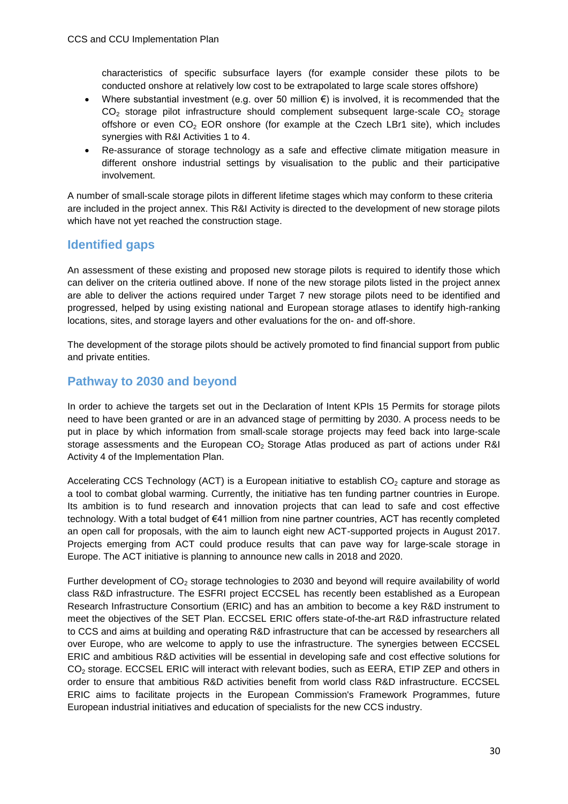characteristics of specific subsurface layers (for example consider these pilots to be conducted onshore at relatively low cost to be extrapolated to large scale stores offshore)

- Where substantial investment (e.g. over 50 million  $\epsilon$ ) is involved, it is recommended that the  $CO<sub>2</sub>$  storage pilot infrastructure should complement subsequent large-scale  $CO<sub>2</sub>$  storage offshore or even  $CO<sub>2</sub>$  EOR onshore (for example at the Czech LBr1 site), which includes synergies with R&I Activities 1 to 4.
- Re-assurance of storage technology as a safe and effective climate mitigation measure in different onshore industrial settings by visualisation to the public and their participative involvement.

A number of small-scale storage pilots in different lifetime stages which may conform to these criteria are included in the project annex. This R&I Activity is directed to the development of new storage pilots which have not yet reached the construction stage.

#### <span id="page-29-0"></span>**Identified gaps**

An assessment of these existing and proposed new storage pilots is required to identify those which can deliver on the criteria outlined above. If none of the new storage pilots listed in the project annex are able to deliver the actions required under Target 7 new storage pilots need to be identified and progressed, helped by using existing national and European storage atlases to identify high-ranking locations, sites, and storage layers and other evaluations for the on- and off-shore.

The development of the storage pilots should be actively promoted to find financial support from public and private entities.

#### <span id="page-29-1"></span>**Pathway to 2030 and beyond**

In order to achieve the targets set out in the Declaration of Intent KPIs 15 Permits for storage pilots need to have been granted or are in an advanced stage of permitting by 2030. A process needs to be put in place by which information from small-scale storage projects may feed back into large-scale storage assessments and the European  $CO<sub>2</sub>$  Storage Atlas produced as part of actions under R&I Activity 4 of the Implementation Plan.

Accelerating CCS Technology (ACT) is a European initiative to establish  $CO<sub>2</sub>$  capture and storage as a tool to combat global warming. Currently, the initiative has ten funding partner countries in Europe. Its ambition is to fund research and innovation projects that can lead to safe and cost effective technology. With a total budget of €41 million from nine partner countries, ACT has recently completed an open call for proposals, with the aim to launch eight new ACT-supported projects in August 2017. Projects emerging from ACT could produce results that can pave way for large-scale storage in Europe. The ACT initiative is planning to announce new calls in 2018 and 2020.

Further development of  $CO<sub>2</sub>$  storage technologies to 2030 and beyond will require availability of world class R&D infrastructure. The ESFRI project ECCSEL has recently been established as a European Research Infrastructure Consortium (ERIC) and has an ambition to become a key R&D instrument to meet the objectives of the SET Plan. ECCSEL ERIC offers state-of-the-art R&D infrastructure related to CCS and aims at building and operating R&D infrastructure that can be accessed by researchers all over Europe, who are welcome to apply to use the infrastructure. The synergies between ECCSEL ERIC and ambitious R&D activities will be essential in developing safe and cost effective solutions for CO<sub>2</sub> storage. ECCSEL ERIC will interact with relevant bodies, such as EERA, ETIP ZEP and others in order to ensure that ambitious R&D activities benefit from world class R&D infrastructure. ECCSEL ERIC aims to facilitate projects in the European Commission's Framework Programmes, future European industrial initiatives and education of specialists for the new CCS industry.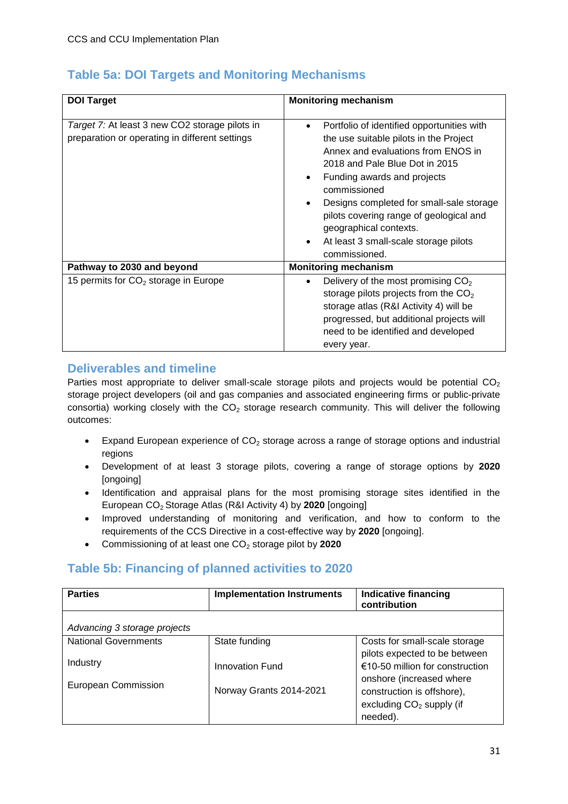### <span id="page-30-0"></span>**Table 5a: DOI Targets and Monitoring Mechanisms**

| <b>DOI Target</b>                                                                                | <b>Monitoring mechanism</b>                                                                                                                                                                                                                                                                                                                                                                                      |
|--------------------------------------------------------------------------------------------------|------------------------------------------------------------------------------------------------------------------------------------------------------------------------------------------------------------------------------------------------------------------------------------------------------------------------------------------------------------------------------------------------------------------|
|                                                                                                  |                                                                                                                                                                                                                                                                                                                                                                                                                  |
| Target 7: At least 3 new CO2 storage pilots in<br>preparation or operating in different settings | Portfolio of identified opportunities with<br>$\bullet$<br>the use suitable pilots in the Project<br>Annex and evaluations from ENOS in<br>2018 and Pale Blue Dot in 2015<br>Funding awards and projects<br>$\bullet$<br>commissioned<br>Designs completed for small-sale storage<br>pilots covering range of geological and<br>geographical contexts.<br>At least 3 small-scale storage pilots<br>commissioned. |
| Pathway to 2030 and beyond                                                                       | <b>Monitoring mechanism</b>                                                                                                                                                                                                                                                                                                                                                                                      |
| 15 permits for $CO2$ storage in Europe                                                           | Delivery of the most promising $CO2$<br>$\bullet$<br>storage pilots projects from the $CO2$<br>storage atlas (R&I Activity 4) will be<br>progressed, but additional projects will<br>need to be identified and developed<br>every year.                                                                                                                                                                          |

#### <span id="page-30-1"></span>**Deliverables and timeline**

Parties most appropriate to deliver small-scale storage pilots and projects would be potential  $CO<sub>2</sub>$ storage project developers (oil and gas companies and associated engineering firms or public-private consortia) working closely with the  $CO<sub>2</sub>$  storage research community. This will deliver the following outcomes:

- Expand European experience of  $CO<sub>2</sub>$  storage across a range of storage options and industrial regions
- Development of at least 3 storage pilots, covering a range of storage options by **2020** [ongoing]
- Identification and appraisal plans for the most promising storage sites identified in the European CO2 Storage Atlas (R&I Activity 4) by **2020** [ongoing]
- Improved understanding of monitoring and verification, and how to conform to the requirements of the CCS Directive in a cost-effective way by **2020** [ongoing].
- Commissioning of at least one CO<sub>2</sub> storage pilot by 2020

#### <span id="page-30-2"></span>**Table 5b: Financing of planned activities to 2020**

| <b>Parties</b>               | <b>Implementation Instruments</b> | <b>Indicative financing</b><br>contribution |
|------------------------------|-----------------------------------|---------------------------------------------|
| Advancing 3 storage projects |                                   |                                             |
| <b>National Governments</b>  | State funding                     | Costs for small-scale storage               |
|                              |                                   | pilots expected to be between               |
| Industry                     | <b>Innovation Fund</b>            | €10-50 million for construction             |
| European Commission          |                                   | onshore (increased where                    |
|                              | Norway Grants 2014-2021           | construction is offshore),                  |
|                              |                                   | excluding $CO2$ supply (if                  |
|                              |                                   | needed).                                    |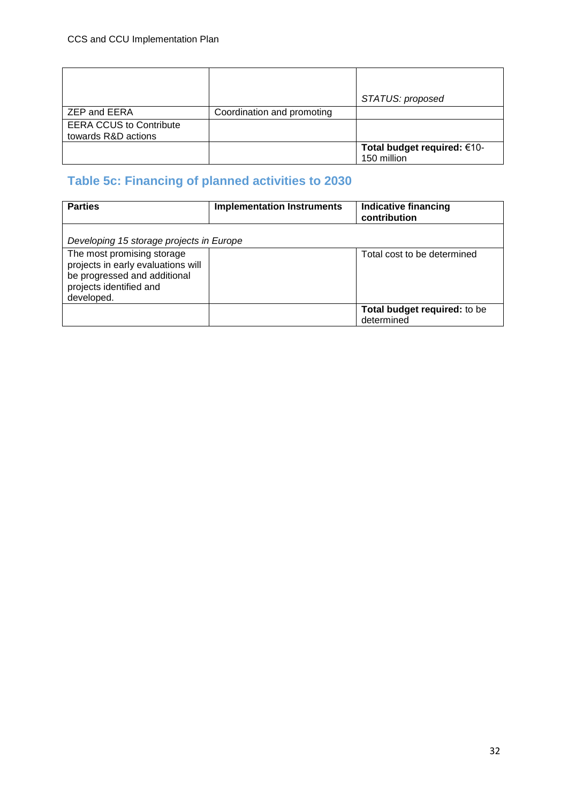|                                                       |                            | STATUS: proposed            |
|-------------------------------------------------------|----------------------------|-----------------------------|
| ZEP and EERA                                          | Coordination and promoting |                             |
| <b>EERA CCUS to Contribute</b><br>towards R&D actions |                            |                             |
|                                                       |                            | Total budget required: €10- |
|                                                       |                            | 150 million                 |

## <span id="page-31-0"></span>**Table 5c: Financing of planned activities to 2030**

| <b>Parties</b>                                                                                                                            | <b>Implementation Instruments</b> | <b>Indicative financing</b><br>contribution |
|-------------------------------------------------------------------------------------------------------------------------------------------|-----------------------------------|---------------------------------------------|
| Developing 15 storage projects in Europe                                                                                                  |                                   |                                             |
| The most promising storage<br>projects in early evaluations will<br>be progressed and additional<br>projects identified and<br>developed. |                                   | Total cost to be determined                 |
|                                                                                                                                           |                                   | Total budget required: to be<br>determined  |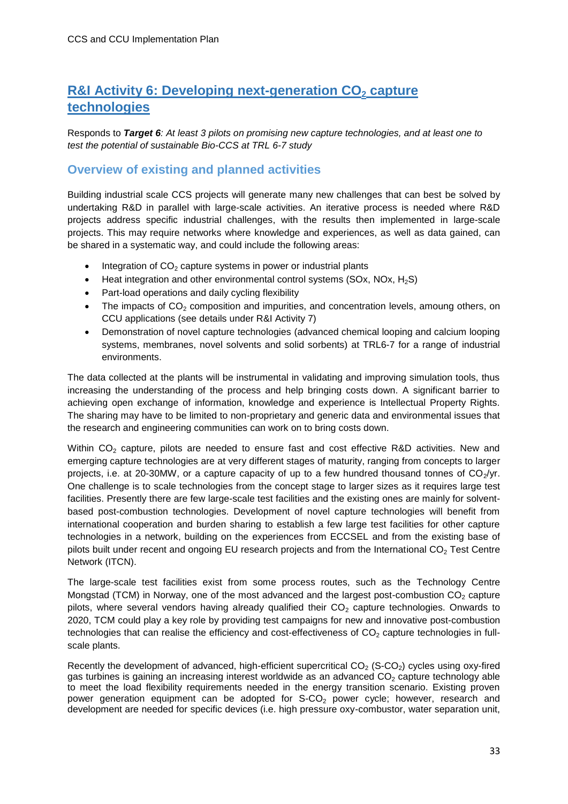## <span id="page-32-0"></span>**R&I Activity 6: Developing next-generation CO<sub>2</sub> capture technologies**

Responds to *Target 6: At least 3 pilots on promising new capture technologies, and at least one to test the potential of sustainable Bio-CCS at TRL 6-7 study*

#### <span id="page-32-1"></span>**Overview of existing and planned activities**

Building industrial scale CCS projects will generate many new challenges that can best be solved by undertaking R&D in parallel with large-scale activities. An iterative process is needed where R&D projects address specific industrial challenges, with the results then implemented in large-scale projects. This may require networks where knowledge and experiences, as well as data gained, can be shared in a systematic way, and could include the following areas:

- $\bullet$  Integration of CO<sub>2</sub> capture systems in power or industrial plants
- $\bullet$  Heat integration and other environmental control systems (SOx, NOx, H<sub>2</sub>S)
- Part-load operations and daily cycling flexibility
- The impacts of  $CO<sub>2</sub>$  composition and impurities, and concentration levels, amoung others, on CCU applications (see details under R&I Activity 7)
- Demonstration of novel capture technologies (advanced chemical looping and calcium looping systems, membranes, novel solvents and solid sorbents) at TRL6-7 for a range of industrial environments.

The data collected at the plants will be instrumental in validating and improving simulation tools, thus increasing the understanding of the process and help bringing costs down. A significant barrier to achieving open exchange of information, knowledge and experience is Intellectual Property Rights. The sharing may have to be limited to non-proprietary and generic data and environmental issues that the research and engineering communities can work on to bring costs down.

Within CO<sub>2</sub> capture, pilots are needed to ensure fast and cost effective R&D activities. New and emerging capture technologies are at very different stages of maturity, ranging from concepts to larger projects, i.e. at 20-30MW, or a capture capacity of up to a few hundred thousand tonnes of  $CO_2/\gamma r$ . One challenge is to scale technologies from the concept stage to larger sizes as it requires large test facilities. Presently there are few large-scale test facilities and the existing ones are mainly for solventbased post-combustion technologies. Development of novel capture technologies will benefit from international cooperation and burden sharing to establish a few large test facilities for other capture technologies in a network, building on the experiences from ECCSEL and from the existing base of pilots built under recent and ongoing EU research projects and from the International  $CO<sub>2</sub>$  Test Centre Network (ITCN).

The large-scale test facilities exist from some process routes, such as the Technology Centre Mongstad (TCM) in Norway, one of the most advanced and the largest post-combustion  $CO<sub>2</sub>$  capture pilots, where several vendors having already qualified their  $CO<sub>2</sub>$  capture technologies. Onwards to 2020, TCM could play a key role by providing test campaigns for new and innovative post-combustion technologies that can realise the efficiency and cost-effectiveness of  $CO<sub>2</sub>$  capture technologies in fullscale plants.

Recently the development of advanced, high-efficient supercritical  $CO<sub>2</sub>$  (S-CO<sub>2</sub>) cycles using oxy-fired gas turbines is gaining an increasing interest worldwide as an advanced  $CO<sub>2</sub>$  capture technology able to meet the load flexibility requirements needed in the energy transition scenario. Existing proven power generation equipment can be adopted for  $S-CO<sub>2</sub>$  power cycle; however, research and development are needed for specific devices (i.e. high pressure oxy-combustor, water separation unit,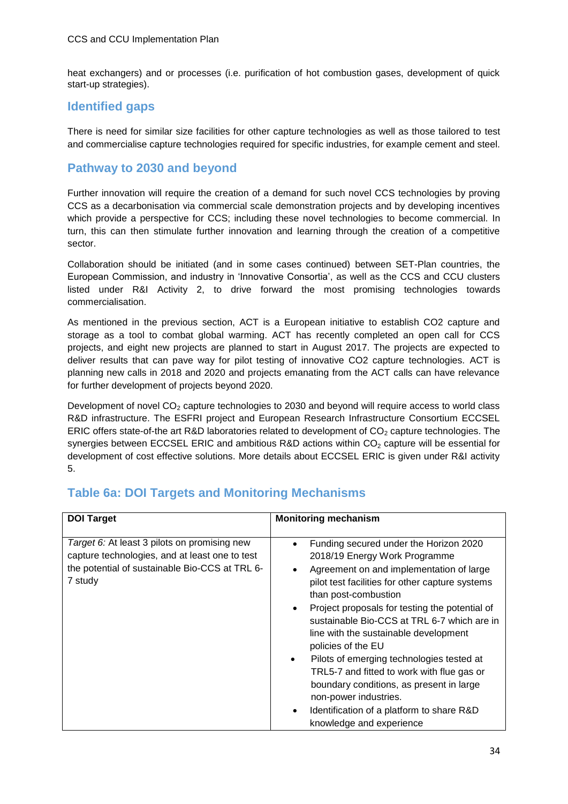heat exchangers) and or processes (i.e. purification of hot combustion gases, development of quick start-up strategies).

### <span id="page-33-0"></span>**Identified gaps**

There is need for similar size facilities for other capture technologies as well as those tailored to test and commercialise capture technologies required for specific industries, for example cement and steel.

#### <span id="page-33-1"></span>**Pathway to 2030 and beyond**

Further innovation will require the creation of a demand for such novel CCS technologies by proving CCS as a decarbonisation via commercial scale demonstration projects and by developing incentives which provide a perspective for CCS; including these novel technologies to become commercial. In turn, this can then stimulate further innovation and learning through the creation of a competitive sector.

Collaboration should be initiated (and in some cases continued) between SET-Plan countries, the European Commission, and industry in 'Innovative Consortia', as well as the CCS and CCU clusters listed under R&I Activity 2, to drive forward the most promising technologies towards commercialisation.

As mentioned in the previous section, ACT is a European initiative to establish CO2 capture and storage as a tool to combat global warming. ACT has recently completed an open call for CCS projects, and eight new projects are planned to start in August 2017. The projects are expected to deliver results that can pave way for pilot testing of innovative CO2 capture technologies. ACT is planning new calls in 2018 and 2020 and projects emanating from the ACT calls can have relevance for further development of projects beyond 2020.

Development of novel  $CO<sub>2</sub>$  capture technologies to 2030 and beyond will require access to world class R&D infrastructure. The ESFRI project and European Research Infrastructure Consortium ECCSEL ERIC offers state-of-the art R&D laboratories related to development of  $CO<sub>2</sub>$  capture technologies. The synergies between ECCSEL ERIC and ambitious R&D actions within  $CO<sub>2</sub>$  capture will be essential for development of cost effective solutions. More details about ECCSEL ERIC is given under R&I activity 5.

| <b>DOI Target</b>                                                                                                                                           | <b>Monitoring mechanism</b>                                                                                                                                                                                                                                                                                                                                                                                                                                                                                                                                                                                                                    |
|-------------------------------------------------------------------------------------------------------------------------------------------------------------|------------------------------------------------------------------------------------------------------------------------------------------------------------------------------------------------------------------------------------------------------------------------------------------------------------------------------------------------------------------------------------------------------------------------------------------------------------------------------------------------------------------------------------------------------------------------------------------------------------------------------------------------|
| Target 6: At least 3 pilots on promising new<br>capture technologies, and at least one to test<br>the potential of sustainable Bio-CCS at TRL 6-<br>7 study | Funding secured under the Horizon 2020<br>$\bullet$<br>2018/19 Energy Work Programme<br>Agreement on and implementation of large<br>pilot test facilities for other capture systems<br>than post-combustion<br>Project proposals for testing the potential of<br>sustainable Bio-CCS at TRL 6-7 which are in<br>line with the sustainable development<br>policies of the EU<br>Pilots of emerging technologies tested at<br>$\bullet$<br>TRL5-7 and fitted to work with flue gas or<br>boundary conditions, as present in large<br>non-power industries.<br>Identification of a platform to share R&D<br>$\bullet$<br>knowledge and experience |

### <span id="page-33-2"></span>**Table 6a: DOI Targets and Monitoring Mechanisms**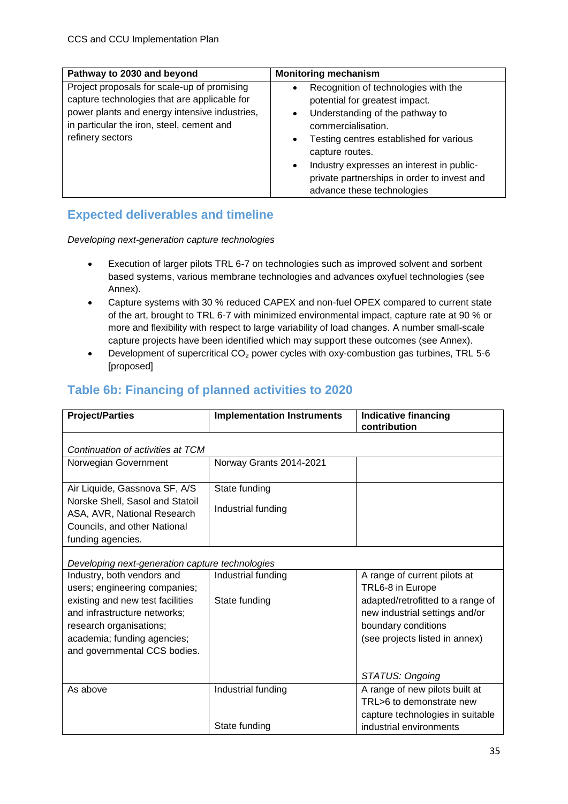| Pathway to 2030 and beyond                                                                                                                                                                                    | <b>Monitoring mechanism</b>                                                                                                                                                                                                                                                                                                                                                 |
|---------------------------------------------------------------------------------------------------------------------------------------------------------------------------------------------------------------|-----------------------------------------------------------------------------------------------------------------------------------------------------------------------------------------------------------------------------------------------------------------------------------------------------------------------------------------------------------------------------|
| Project proposals for scale-up of promising<br>capture technologies that are applicable for<br>power plants and energy intensive industries,<br>in particular the iron, steel, cement and<br>refinery sectors | Recognition of technologies with the<br>$\bullet$<br>potential for greatest impact.<br>Understanding of the pathway to<br>$\bullet$<br>commercialisation.<br>Testing centres established for various<br>$\bullet$<br>capture routes.<br>Industry expresses an interest in public-<br>$\bullet$<br>private partnerships in order to invest and<br>advance these technologies |

### <span id="page-34-0"></span>**Expected deliverables and timeline**

*Developing next-generation capture technologies*

- Execution of larger pilots TRL 6-7 on technologies such as improved solvent and sorbent based systems, various membrane technologies and advances oxyfuel technologies (see Annex).
- Capture systems with 30 % reduced CAPEX and non-fuel OPEX compared to current state of the art, brought to TRL 6-7 with minimized environmental impact, capture rate at 90 % or more and flexibility with respect to large variability of load changes. A number small-scale capture projects have been identified which may support these outcomes (see Annex).
- **•** Development of supercritical  $CO<sub>2</sub>$  power cycles with oxy-combustion gas turbines, TRL 5-6 [proposed]

### <span id="page-34-1"></span>**Table 6b: Financing of planned activities to 2020**

| <b>Project/Parties</b>                                         | <b>Implementation Instruments</b>               | <b>Indicative financing</b><br>contribution |  |
|----------------------------------------------------------------|-------------------------------------------------|---------------------------------------------|--|
| Continuation of activities at TCM                              |                                                 |                                             |  |
| Norwegian Government                                           | Norway Grants 2014-2021                         |                                             |  |
| Air Liquide, Gassnova SF, A/S                                  | State funding                                   |                                             |  |
| Norske Shell, Sasol and Statoil<br>ASA, AVR, National Research | Industrial funding                              |                                             |  |
| Councils, and other National                                   |                                                 |                                             |  |
| funding agencies.                                              |                                                 |                                             |  |
|                                                                | Developing next-generation capture technologies |                                             |  |
| Industry, both vendors and                                     | Industrial funding                              | A range of current pilots at                |  |
| users; engineering companies;                                  |                                                 | TRL6-8 in Europe                            |  |
| existing and new test facilities                               | State funding                                   | adapted/retrofitted to a range of           |  |
| and infrastructure networks;                                   |                                                 | new industrial settings and/or              |  |
| research organisations;                                        |                                                 | boundary conditions                         |  |
| academia; funding agencies;                                    |                                                 | (see projects listed in annex)              |  |
| and governmental CCS bodies.                                   |                                                 |                                             |  |
|                                                                |                                                 |                                             |  |
|                                                                |                                                 | STATUS: Ongoing                             |  |
| As above                                                       | Industrial funding                              | A range of new pilots built at              |  |
|                                                                |                                                 | TRL>6 to demonstrate new                    |  |
|                                                                |                                                 | capture technologies in suitable            |  |
|                                                                | State funding                                   | industrial environments                     |  |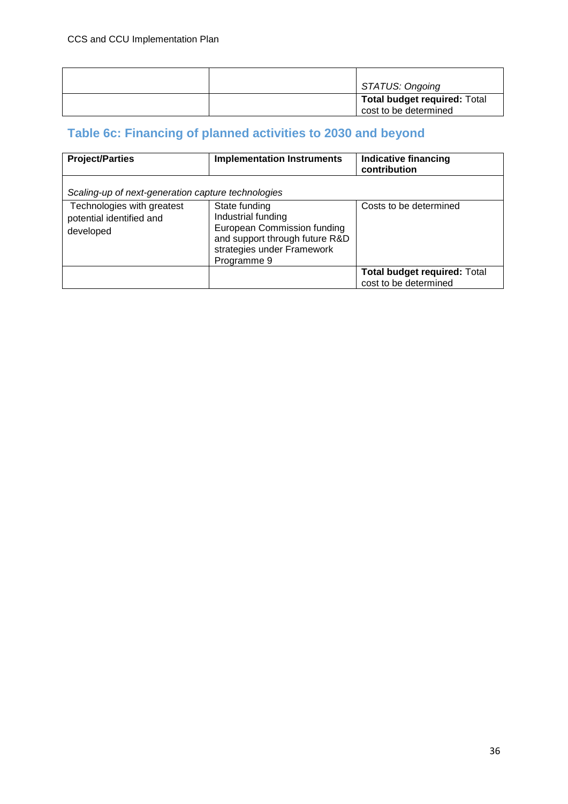|  | STATUS: Ongoing                                              |
|--|--------------------------------------------------------------|
|  | <b>Total budget required: Total</b><br>cost to be determined |

## <span id="page-35-0"></span>**Table 6c: Financing of planned activities to 2030 and beyond**

| <b>Project/Parties</b>                                              | <b>Implementation Instruments</b>                                                                                                                 | <b>Indicative financing</b><br>contribution                  |
|---------------------------------------------------------------------|---------------------------------------------------------------------------------------------------------------------------------------------------|--------------------------------------------------------------|
| Scaling-up of next-generation capture technologies                  |                                                                                                                                                   |                                                              |
| Technologies with greatest<br>potential identified and<br>developed | State funding<br>Industrial funding<br>European Commission funding<br>and support through future R&D<br>strategies under Framework<br>Programme 9 | Costs to be determined                                       |
|                                                                     |                                                                                                                                                   | <b>Total budget required: Total</b><br>cost to be determined |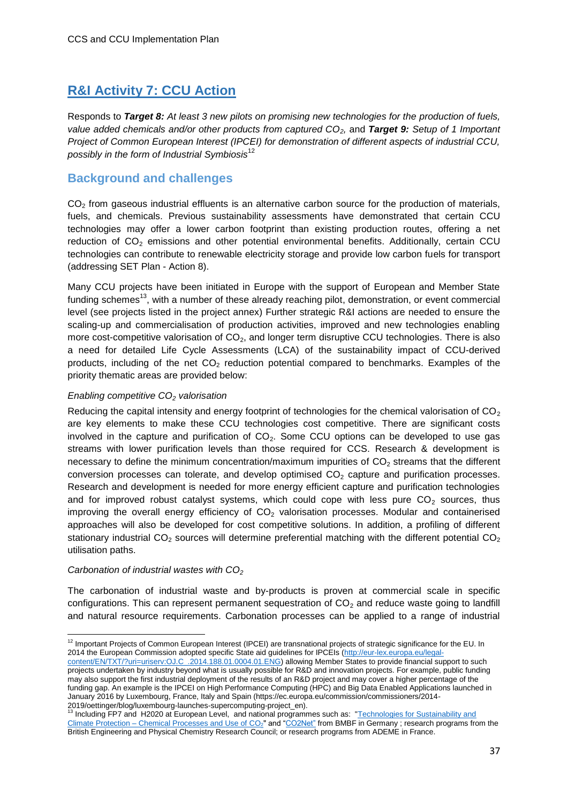### <span id="page-36-0"></span>**R&I Activity 7: CCU Action**

Responds to *Target 8: At least 3 new pilots on promising new technologies for the production of fuels, value added chemicals and/or other products from captured CO2,* and *Target 9: Setup of 1 Important Project of Common European Interest (IPCEI) for demonstration of different aspects of industrial CCU, possibly in the form of Industrial Symbiosis*<sup>12</sup>

#### <span id="page-36-1"></span>**Background and challenges**

 $CO<sub>2</sub>$  from gaseous industrial effluents is an alternative carbon source for the production of materials, fuels, and chemicals. Previous sustainability assessments have demonstrated that certain CCU technologies may offer a lower carbon footprint than existing production routes, offering a net reduction of  $CO<sub>2</sub>$  emissions and other potential environmental benefits. Additionally, certain CCU technologies can contribute to renewable electricity storage and provide low carbon fuels for transport (addressing SET Plan - Action 8).

Many CCU projects have been initiated in Europe with the support of European and Member State funding schemes<sup>13</sup>, with a number of these already reaching pilot, demonstration, or event commercial level (see projects listed in the project annex) Further strategic R&I actions are needed to ensure the scaling-up and commercialisation of production activities, improved and new technologies enabling more cost-competitive valorisation of  $CO<sub>2</sub>$ , and longer term disruptive CCU technologies. There is also a need for detailed Life Cycle Assessments (LCA) of the sustainability impact of CCU-derived products, including of the net  $CO<sub>2</sub>$  reduction potential compared to benchmarks. Examples of the priority thematic areas are provided below:

#### *Enabling competitive CO<sup>2</sup> valorisation*

Reducing the capital intensity and energy footprint of technologies for the chemical valorisation of  $CO<sub>2</sub>$ are key elements to make these CCU technologies cost competitive. There are significant costs involved in the capture and purification of  $CO<sub>2</sub>$ . Some CCU options can be developed to use gas streams with lower purification levels than those required for CCS. Research & development is necessary to define the minimum concentration/maximum impurities of  $CO<sub>2</sub>$  streams that the different conversion processes can tolerate, and develop optimised  $CO<sub>2</sub>$  capture and purification processes. Research and development is needed for more energy efficient capture and purification technologies and for improved robust catalyst systems, which could cope with less pure  $CO<sub>2</sub>$  sources, thus improving the overall energy efficiency of  $CO<sub>2</sub>$  valorisation processes. Modular and containerised approaches will also be developed for cost competitive solutions. In addition, a profiling of different stationary industrial  $CO<sub>2</sub>$  sources will determine preferential matching with the different potential  $CO<sub>2</sub>$ utilisation paths.

#### *Carbonation of industrial wastes with CO<sup>2</sup>*

The carbonation of industrial waste and by-products is proven at commercial scale in specific configurations. This can represent permanent sequestration of  $CO<sub>2</sub>$  and reduce waste going to landfill and natural resource requirements. Carbonation processes can be applied to a range of industrial

 $\overline{a}$  $12$  Important Projects of Common European Interest (IPCEI) are transnational projects of strategic significance for the EU. In 2014 the European Commission adopted specific State aid guidelines for IPCEIs [\(http://eur-lex.europa.eu/legal-](http://eur-lex.europa.eu/legal-content/EN/TXT/?uri=uriserv:OJ.C_.2014.188.01.0004.01.ENG)

[content/EN/TXT/?uri=uriserv:OJ.C\\_.2014.188.01.0004.01.ENG\)](http://eur-lex.europa.eu/legal-content/EN/TXT/?uri=uriserv:OJ.C_.2014.188.01.0004.01.ENG) allowing Member States to provide financial support to such projects undertaken by industry beyond what is usually possible for R&D and innovation projects. For example, public funding may also support the first industrial deployment of the results of an R&D project and may cover a higher percentage of the funding gap. An example is the IPCEI on High Performance Computing (HPC) and Big Data Enabled Applications launched in January 2016 by Luxembourg, France, Italy and Spain (https://ec.europa.eu/commission/commissioners/2014- 2019/oettinger/blog/luxembourg-launches-supercomputing-project\_en).

<sup>&</sup>lt;sup>13</sup> Including FP7 and H2020 at European Level, and national programmes such as: "Technologies for Sustainability and Climate Protection – [Chemical Processes and Use of](https://www.fona.de/en/chemical-processes-9852.html) CO<sub>2</sub>" and ["CO2Net"](http://chemieundco2.de/de/) from BMBF in Germany ; research programs from the British Engineering and Physical Chemistry Research Council; or research programs from ADEME in France.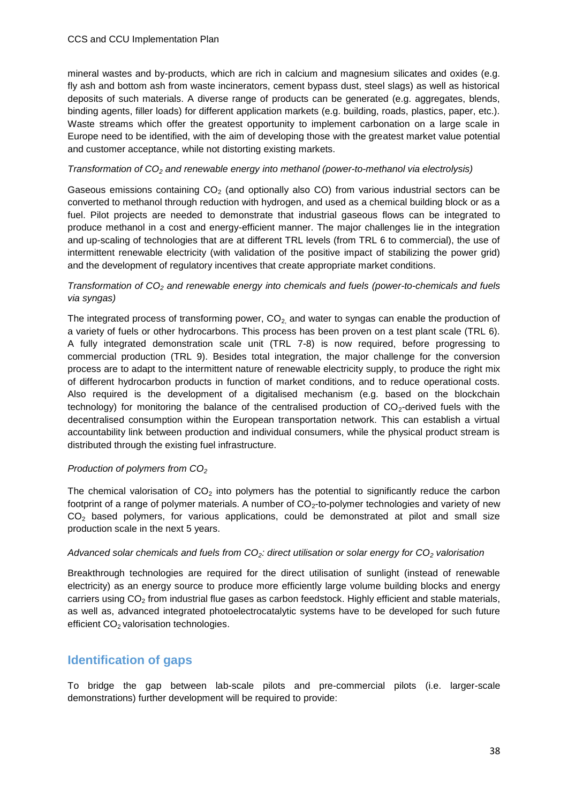#### CCS and CCU Implementation Plan

mineral wastes and by-products, which are rich in calcium and magnesium silicates and oxides (e.g. fly ash and bottom ash from waste incinerators, cement bypass dust, steel slags) as well as historical deposits of such materials. A diverse range of products can be generated (e.g. aggregates, blends, binding agents, filler loads) for different application markets (e.g. building, roads, plastics, paper, etc.). Waste streams which offer the greatest opportunity to implement carbonation on a large scale in Europe need to be identified, with the aim of developing those with the greatest market value potential and customer acceptance, while not distorting existing markets.

#### *Transformation of CO<sup>2</sup> and renewable energy into methanol (power-to-methanol via electrolysis)*

Gaseous emissions containing  $CO<sub>2</sub>$  (and optionally also CO) from various industrial sectors can be converted to methanol through reduction with hydrogen, and used as a chemical building block or as a fuel. Pilot projects are needed to demonstrate that industrial gaseous flows can be integrated to produce methanol in a cost and energy-efficient manner. The major challenges lie in the integration and up-scaling of technologies that are at different TRL levels (from TRL 6 to commercial), the use of intermittent renewable electricity (with validation of the positive impact of stabilizing the power grid) and the development of regulatory incentives that create appropriate market conditions.

#### *Transformation of CO<sup>2</sup> and renewable energy into chemicals and fuels (power-to-chemicals and fuels via syngas)*

The integrated process of transforming power,  $CO<sub>2</sub>$  and water to syngas can enable the production of a variety of fuels or other hydrocarbons. This process has been proven on a test plant scale (TRL 6). A fully integrated demonstration scale unit (TRL 7-8) is now required, before progressing to commercial production (TRL 9). Besides total integration, the major challenge for the conversion process are to adapt to the intermittent nature of renewable electricity supply, to produce the right mix of different hydrocarbon products in function of market conditions, and to reduce operational costs. Also required is the development of a digitalised mechanism (e.g. based on the blockchain technology) for monitoring the balance of the centralised production of  $CO<sub>2</sub>$ -derived fuels with the decentralised consumption within the European transportation network. This can establish a virtual accountability link between production and individual consumers, while the physical product stream is distributed through the existing fuel infrastructure.

#### *Production of polymers from CO<sup>2</sup>*

The chemical valorisation of  $CO<sub>2</sub>$  into polymers has the potential to significantly reduce the carbon footprint of a range of polymer materials. A number of  $CO<sub>2</sub>$ -to-polymer technologies and variety of new  $CO<sub>2</sub>$  based polymers, for various applications, could be demonstrated at pilot and small size production scale in the next 5 years.

#### *Advanced solar chemicals and fuels from CO2: direct utilisation or solar energy for CO<sup>2</sup> valorisation*

Breakthrough technologies are required for the direct utilisation of sunlight (instead of renewable electricity) as an energy source to produce more efficiently large volume building blocks and energy carriers using CO<sub>2</sub> from industrial flue gases as carbon feedstock. Highly efficient and stable materials, as well as, advanced integrated photoelectrocatalytic systems have to be developed for such future efficient CO<sub>2</sub> valorisation technologies.

#### <span id="page-37-0"></span>**Identification of gaps**

To bridge the gap between lab-scale pilots and pre-commercial pilots (i.e. larger-scale demonstrations) further development will be required to provide: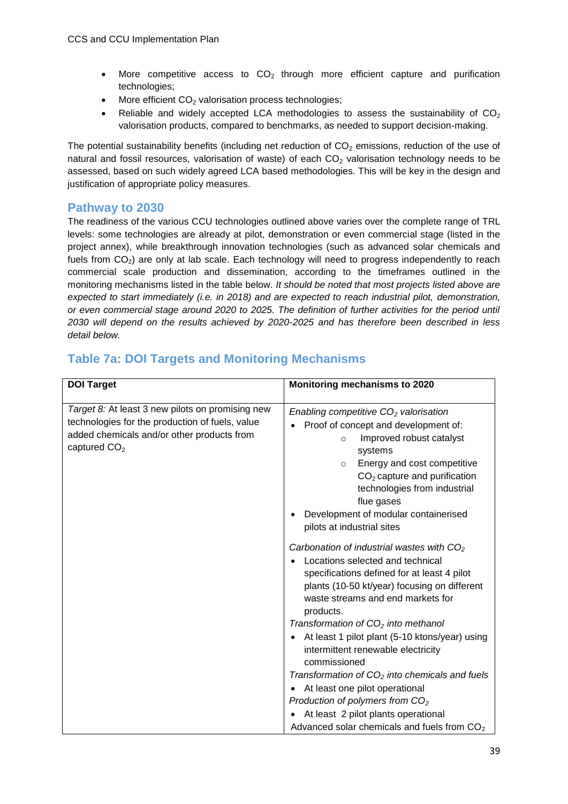- More competitive access to  $CO<sub>2</sub>$  through more efficient capture and purification technologies;
- $\bullet$  More efficient CO<sub>2</sub> valorisation process technologies;
- Reliable and widely accepted LCA methodologies to assess the sustainability of  $CO<sub>2</sub>$ valorisation products, compared to benchmarks, as needed to support decision-making.

The potential sustainability benefits (including net reduction of  $CO<sub>2</sub>$  emissions, reduction of the use of natural and fossil resources, valorisation of waste) of each  $CO<sub>2</sub>$  valorisation technology needs to be assessed, based on such widely agreed LCA based methodologies. This will be key in the design and justification of appropriate policy measures.

#### <span id="page-38-0"></span>**Pathway to 2030**

The readiness of the various CCU technologies outlined above varies over the complete range of TRL levels: some technologies are already at pilot, demonstration or even commercial stage (listed in the project annex), while breakthrough innovation technologies (such as advanced solar chemicals and fuels from  $CO<sub>2</sub>$ ) are only at lab scale. Each technology will need to progress independently to reach commercial scale production and dissemination, according to the timeframes outlined in the monitoring mechanisms listed in the table below. *It should be noted that most projects listed above are expected to start immediately (i.e. in 2018) and are expected to reach industrial pilot, demonstration, or even commercial stage around 2020 to 2025. The definition of further activities for the period until 2030 will depend on the results achieved by 2020-2025 and has therefore been described in less detail below.* 

#### **DOI Target Monitoring mechanisms to 2020** *Target 8:* At least 3 new pilots on promising new technologies for the production of fuels, value added chemicals and/or other products from captured  $CO<sub>2</sub>$ *Enabling competitive CO<sup>2</sup> valorisation*  • Proof of concept and development of: o Improved robust catalyst systems o Energy and cost competitive  $CO<sub>2</sub>$  capture and purification technologies from industrial flue gases Development of modular containerised pilots at industrial sites *Carbonation of industrial wastes with CO<sup>2</sup>* • Locations selected and technical specifications defined for at least 4 pilot plants (10-50 kt/year) focusing on different waste streams and end markets for products. *Transformation of CO<sup>2</sup> into methanol* At least 1 pilot plant (5-10 ktons/year) using intermittent renewable electricity commissioned *Transformation of CO<sup>2</sup> into chemicals and fuels*  At least one pilot operational *Production of polymers from CO<sup>2</sup>* At least 2 pilot plants operational Advanced solar chemicals and fuels from  $CO<sub>2</sub>$

### <span id="page-38-1"></span>**Table 7a: DOI Targets and Monitoring Mechanisms**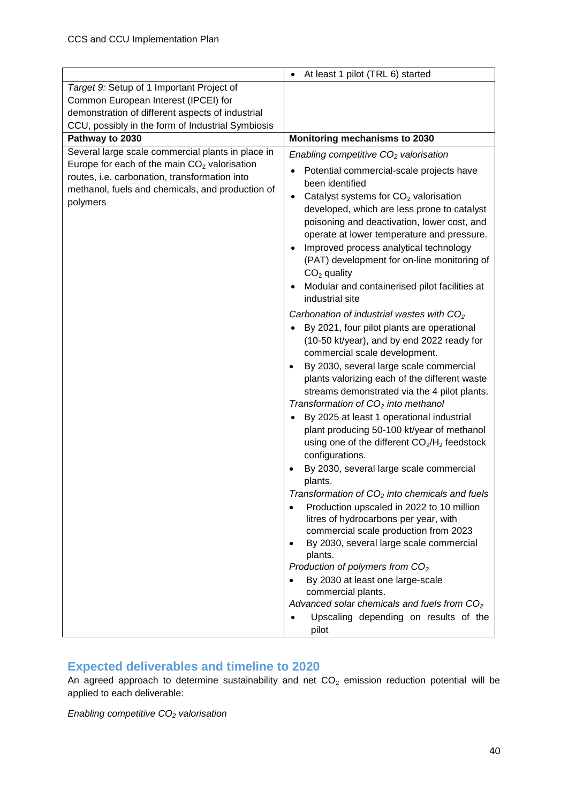|                                                                                                                                                                                                                      | At least 1 pilot (TRL 6) started<br>$\bullet$                                                                                                                                                                                                                                                                                                                                                                                                                                                                                                                                                                                                                                                                                                                                                                                                                                                                                                                                                                                                                                                                                                                                                                                                                                                                                                                                                                                                                                                                                                                                                |
|----------------------------------------------------------------------------------------------------------------------------------------------------------------------------------------------------------------------|----------------------------------------------------------------------------------------------------------------------------------------------------------------------------------------------------------------------------------------------------------------------------------------------------------------------------------------------------------------------------------------------------------------------------------------------------------------------------------------------------------------------------------------------------------------------------------------------------------------------------------------------------------------------------------------------------------------------------------------------------------------------------------------------------------------------------------------------------------------------------------------------------------------------------------------------------------------------------------------------------------------------------------------------------------------------------------------------------------------------------------------------------------------------------------------------------------------------------------------------------------------------------------------------------------------------------------------------------------------------------------------------------------------------------------------------------------------------------------------------------------------------------------------------------------------------------------------------|
| Target 9: Setup of 1 Important Project of                                                                                                                                                                            |                                                                                                                                                                                                                                                                                                                                                                                                                                                                                                                                                                                                                                                                                                                                                                                                                                                                                                                                                                                                                                                                                                                                                                                                                                                                                                                                                                                                                                                                                                                                                                                              |
| Common European Interest (IPCEI) for                                                                                                                                                                                 |                                                                                                                                                                                                                                                                                                                                                                                                                                                                                                                                                                                                                                                                                                                                                                                                                                                                                                                                                                                                                                                                                                                                                                                                                                                                                                                                                                                                                                                                                                                                                                                              |
| demonstration of different aspects of industrial                                                                                                                                                                     |                                                                                                                                                                                                                                                                                                                                                                                                                                                                                                                                                                                                                                                                                                                                                                                                                                                                                                                                                                                                                                                                                                                                                                                                                                                                                                                                                                                                                                                                                                                                                                                              |
| CCU, possibly in the form of Industrial Symbiosis                                                                                                                                                                    |                                                                                                                                                                                                                                                                                                                                                                                                                                                                                                                                                                                                                                                                                                                                                                                                                                                                                                                                                                                                                                                                                                                                                                                                                                                                                                                                                                                                                                                                                                                                                                                              |
| Pathway to 2030                                                                                                                                                                                                      | Monitoring mechanisms to 2030                                                                                                                                                                                                                                                                                                                                                                                                                                                                                                                                                                                                                                                                                                                                                                                                                                                                                                                                                                                                                                                                                                                                                                                                                                                                                                                                                                                                                                                                                                                                                                |
| Several large scale commercial plants in place in<br>Europe for each of the main $CO2$ valorisation<br>routes, i.e. carbonation, transformation into<br>methanol, fuels and chemicals, and production of<br>polymers | Enabling competitive $CO2$ valorisation<br>Potential commercial-scale projects have<br>been identified<br>Catalyst systems for $CO2$ valorisation<br>$\bullet$<br>developed, which are less prone to catalyst<br>poisoning and deactivation, lower cost, and<br>operate at lower temperature and pressure.<br>Improved process analytical technology<br>(PAT) development for on-line monitoring of<br>$CO2$ quality<br>Modular and containerised pilot facilities at<br>$\bullet$<br>industrial site<br>Carbonation of industrial wastes with $CO2$<br>By 2021, four pilot plants are operational<br>(10-50 kt/year), and by end 2022 ready for<br>commercial scale development.<br>By 2030, several large scale commercial<br>$\bullet$<br>plants valorizing each of the different waste<br>streams demonstrated via the 4 pilot plants.<br>Transformation of $CO2$ into methanol<br>By 2025 at least 1 operational industrial<br>plant producing 50-100 kt/year of methanol<br>using one of the different CO <sub>2</sub> /H <sub>2</sub> feedstock<br>configurations.<br>By 2030, several large scale commercial<br>٠<br>plants.<br>Transformation of $CO2$ into chemicals and fuels<br>Production upscaled in 2022 to 10 million<br>$\bullet$<br>litres of hydrocarbons per year, with<br>commercial scale production from 2023<br>By 2030, several large scale commercial<br>plants.<br>Production of polymers from $CO2$<br>By 2030 at least one large-scale<br>commercial plants.<br>Advanced solar chemicals and fuels from $CO2$<br>Upscaling depending on results of the<br>pilot |

### <span id="page-39-0"></span>**Expected deliverables and timeline to 2020**

An agreed approach to determine sustainability and net  $CO<sub>2</sub>$  emission reduction potential will be applied to each deliverable:

*Enabling competitive CO<sup>2</sup> valorisation*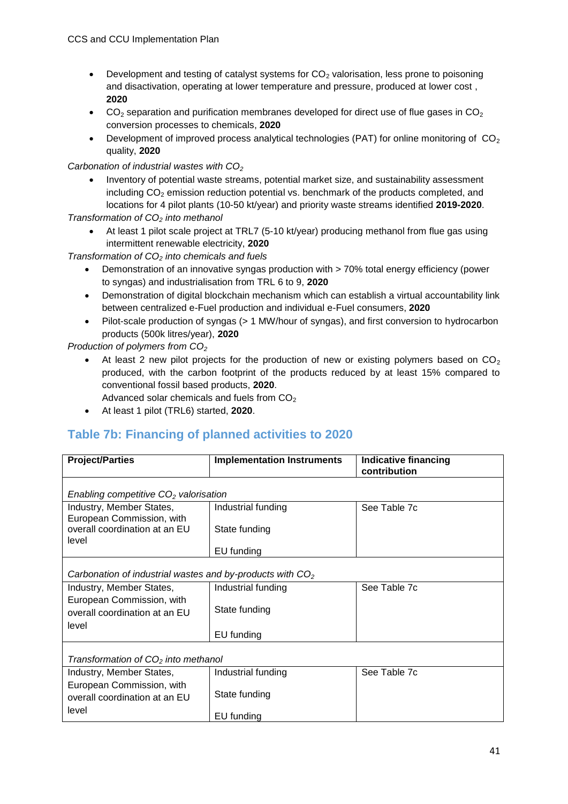- **•** Development and testing of catalyst systems for  $CO<sub>2</sub>$  valorisation, less prone to poisoning and disactivation, operating at lower temperature and pressure, produced at lower cost , **2020**
- $\bullet$  CO<sub>2</sub> separation and purification membranes developed for direct use of flue gases in CO<sub>2</sub> conversion processes to chemicals, **2020**
- Development of improved process analytical technologies (PAT) for online monitoring of  $CO<sub>2</sub>$ quality, **2020**

*Carbonation of industrial wastes with CO<sup>2</sup>*

 Inventory of potential waste streams, potential market size, and sustainability assessment including  $CO<sub>2</sub>$  emission reduction potential vs. benchmark of the products completed, and locations for 4 pilot plants (10-50 kt/year) and priority waste streams identified **2019-2020**.

*Transformation of CO<sup>2</sup> into methanol*

 At least 1 pilot scale project at TRL7 (5-10 kt/year) producing methanol from flue gas using intermittent renewable electricity, **2020**

*Transformation of CO<sup>2</sup> into chemicals and fuels* 

- Demonstration of an innovative syngas production with > 70% total energy efficiency (power to syngas) and industrialisation from TRL 6 to 9, **2020**
- Demonstration of digital blockchain mechanism which can establish a virtual accountability link between centralized e-Fuel production and individual e-Fuel consumers, **2020**
- Pilot-scale production of syngas (> 1 MW/hour of syngas), and first conversion to hydrocarbon products (500k litres/year), **2020**

*Production of polymers from CO<sup>2</sup>*

At least 2 new pilot projects for the production of new or existing polymers based on  $CO<sub>2</sub>$ produced, with the carbon footprint of the products reduced by at least 15% compared to conventional fossil based products, **2020**.

Advanced solar chemicals and fuels from  $CO<sub>2</sub>$ 

At least 1 pilot (TRL6) started, **2020**.

#### <span id="page-40-0"></span>**Table 7b: Financing of planned activities to 2020**

| <b>Project/Parties</b>                                              | <b>Implementation Instruments</b> | <b>Indicative financing</b><br>contribution |
|---------------------------------------------------------------------|-----------------------------------|---------------------------------------------|
| Enabling competitive $CO2$ valorisation                             |                                   |                                             |
| Industry, Member States,<br>European Commission, with               | Industrial funding                | See Table 7c                                |
| overall coordination at an EU<br>level                              | State funding                     |                                             |
|                                                                     | EU funding                        |                                             |
| Carbonation of industrial wastes and by-products with $CO2$         |                                   |                                             |
| Industry, Member States,                                            | Industrial funding                | See Table 7c                                |
| European Commission, with<br>overall coordination at an EU<br>level | State funding                     |                                             |
|                                                                     | EU funding                        |                                             |
| Transformation of $CO2$ into methanol                               |                                   |                                             |
| Industry, Member States,                                            | Industrial funding                | See Table 7c                                |
| European Commission, with<br>overall coordination at an EU          | State funding                     |                                             |
| level                                                               | EU funding                        |                                             |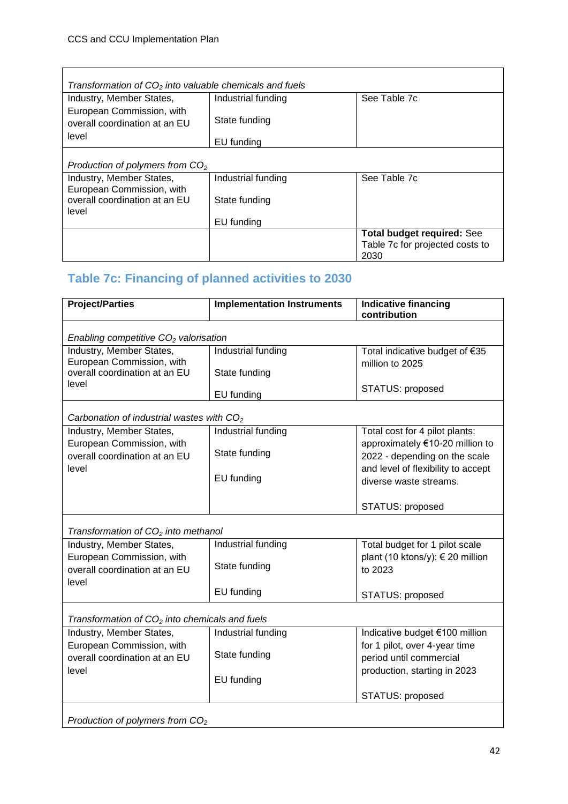| Transformation of $CO2$ into valuable chemicals and fuels  |                    |                                   |
|------------------------------------------------------------|--------------------|-----------------------------------|
| Industry, Member States,                                   | Industrial funding | See Table 7c                      |
| European Commission, with<br>overall coordination at an EU | State funding      |                                   |
| level                                                      | EU funding         |                                   |
| Production of polymers from $CO2$                          |                    |                                   |
| Industry, Member States,<br>European Commission, with      | Industrial funding | See Table 7c                      |
| overall coordination at an EU<br>level                     | State funding      |                                   |
|                                                            | EU funding         |                                   |
|                                                            |                    | <b>Total budget required: See</b> |
|                                                            |                    | Table 7c for projected costs to   |
|                                                            |                    | 2030                              |

## <span id="page-41-0"></span>**Table 7c: Financing of planned activities to 2030**

| <b>Project/Parties</b>                                     | <b>Implementation Instruments</b> | <b>Indicative financing</b><br>contribution |
|------------------------------------------------------------|-----------------------------------|---------------------------------------------|
|                                                            |                                   |                                             |
| Enabling competitive $CO2$ valorisation                    |                                   |                                             |
| Industry, Member States,                                   | Industrial funding                | Total indicative budget of €35              |
| European Commission, with<br>overall coordination at an EU |                                   | million to 2025                             |
| level                                                      | State funding                     |                                             |
|                                                            | EU funding                        | STATUS: proposed                            |
|                                                            |                                   |                                             |
| Carbonation of industrial wastes with CO <sub>2</sub>      |                                   |                                             |
| Industry, Member States,                                   | Industrial funding                | Total cost for 4 pilot plants:              |
| European Commission, with                                  |                                   | approximately €10-20 million to             |
| overall coordination at an EU                              | State funding                     | 2022 - depending on the scale               |
| level                                                      | EU funding                        | and level of flexibility to accept          |
|                                                            |                                   | diverse waste streams.                      |
|                                                            |                                   |                                             |
|                                                            |                                   | STATUS: proposed                            |
| Transformation of $CO2$ into methanol                      |                                   |                                             |
| Industry, Member States,                                   | Industrial funding                | Total budget for 1 pilot scale              |
| European Commission, with                                  |                                   | plant (10 ktons/y): € 20 million            |
| overall coordination at an EU                              | State funding                     | to 2023                                     |
| level                                                      |                                   |                                             |
|                                                            | EU funding                        | STATUS: proposed                            |
|                                                            |                                   |                                             |
| Transformation of $CO2$ into chemicals and fuels           |                                   |                                             |
| Industry, Member States,                                   | Industrial funding                | Indicative budget €100 million              |
| European Commission, with                                  | State funding                     | for 1 pilot, over 4-year time               |
| overall coordination at an EU                              |                                   | period until commercial                     |
| level                                                      | EU funding                        | production, starting in 2023                |
|                                                            |                                   | STATUS: proposed                            |
|                                                            |                                   |                                             |
| Production of polymers from $CO2$                          |                                   |                                             |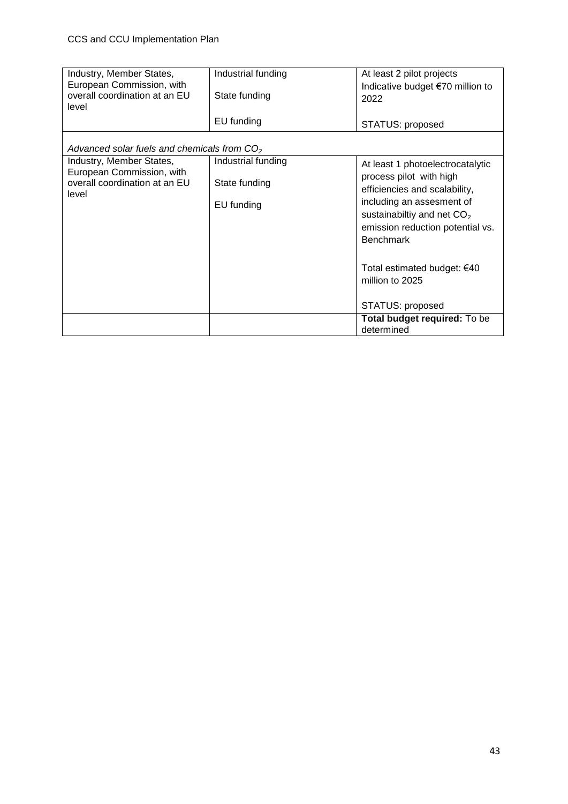| Industry, Member States,<br>European Commission, with<br>overall coordination at an EU<br>level | Industrial funding<br>State funding<br>EU funding | At least 2 pilot projects<br>Indicative budget €70 million to<br>2022<br>STATUS: proposed                                                                                                                         |
|-------------------------------------------------------------------------------------------------|---------------------------------------------------|-------------------------------------------------------------------------------------------------------------------------------------------------------------------------------------------------------------------|
| Advanced solar fuels and chemicals from $CO2$                                                   |                                                   |                                                                                                                                                                                                                   |
| Industry, Member States,<br>European Commission, with<br>overall coordination at an EU<br>level | Industrial funding<br>State funding<br>EU funding | At least 1 photoelectrocatalytic<br>process pilot with high<br>efficiencies and scalability,<br>including an assesment of<br>sustainabiltiy and net $CO2$<br>emission reduction potential vs.<br><b>Benchmark</b> |
|                                                                                                 |                                                   | Total estimated budget: €40<br>million to 2025<br>STATUS: proposed                                                                                                                                                |
|                                                                                                 |                                                   | Total budget required: To be<br>determined                                                                                                                                                                        |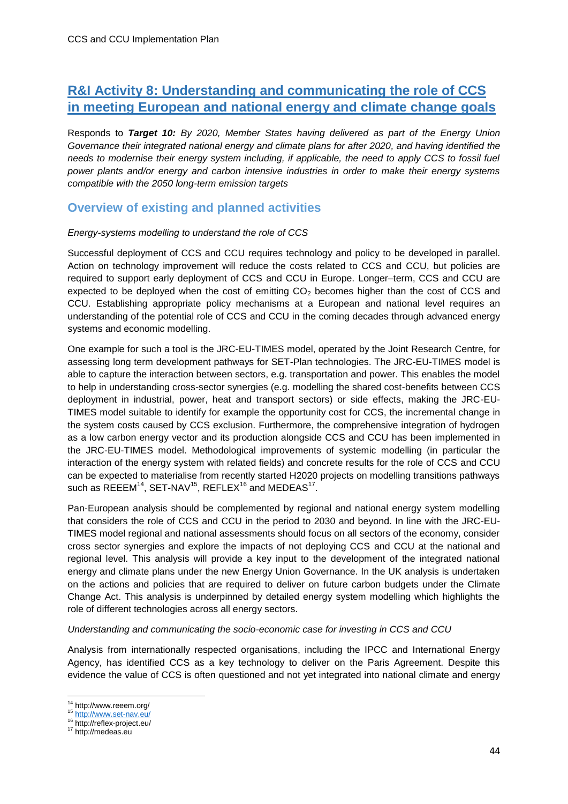### <span id="page-43-0"></span>**R&I Activity 8: Understanding and communicating the role of CCS in meeting European and national energy and climate change goals**

Responds to *Target 10: By 2020, Member States having delivered as part of the Energy Union Governance their integrated national energy and climate plans for after 2020, and having identified the needs to modernise their energy system including, if applicable, the need to apply CCS to fossil fuel power plants and/or energy and carbon intensive industries in order to make their energy systems compatible with the 2050 long-term emission targets*

#### <span id="page-43-1"></span>**Overview of existing and planned activities**

#### *Energy-systems modelling to understand the role of CCS*

Successful deployment of CCS and CCU requires technology and policy to be developed in parallel. Action on technology improvement will reduce the costs related to CCS and CCU, but policies are required to support early deployment of CCS and CCU in Europe. Longer–term, CCS and CCU are expected to be deployed when the cost of emitting  $CO<sub>2</sub>$  becomes higher than the cost of CCS and CCU. Establishing appropriate policy mechanisms at a European and national level requires an understanding of the potential role of CCS and CCU in the coming decades through advanced energy systems and economic modelling.

One example for such a tool is the JRC-EU-TIMES model, operated by the Joint Research Centre, for assessing long term development pathways for SET-Plan technologies. The JRC-EU-TIMES model is able to capture the interaction between sectors, e.g. transportation and power. This enables the model to help in understanding cross-sector synergies (e.g. modelling the shared cost-benefits between CCS deployment in industrial, power, heat and transport sectors) or side effects, making the JRC-EU-TIMES model suitable to identify for example the opportunity cost for CCS, the incremental change in the system costs caused by CCS exclusion. Furthermore, the comprehensive integration of hydrogen as a low carbon energy vector and its production alongside CCS and CCU has been implemented in the JRC-EU-TIMES model. Methodological improvements of systemic modelling (in particular the interaction of the energy system with related fields) and concrete results for the role of CCS and CCU can be expected to materialise from recently started H2020 projects on modelling transitions pathways such as REEEM $^{14}$ , SET-NAV $^{15}$ , REFLEX $^{16}$  and MEDEAS $^{17}$ .

Pan-European analysis should be complemented by regional and national energy system modelling that considers the role of CCS and CCU in the period to 2030 and beyond. In line with the JRC-EU-TIMES model regional and national assessments should focus on all sectors of the economy, consider cross sector synergies and explore the impacts of not deploying CCS and CCU at the national and regional level. This analysis will provide a key input to the development of the integrated national energy and climate plans under the new Energy Union Governance. In the UK analysis is undertaken on the actions and policies that are required to deliver on future carbon budgets under the Climate Change Act. This analysis is underpinned by detailed energy system modelling which highlights the role of different technologies across all energy sectors.

#### *Understanding and communicating the socio-economic case for investing in CCS and CCU*

Analysis from internationally respected organisations, including the IPCC and International Energy Agency, has identified CCS as a key technology to deliver on the Paris Agreement. Despite this evidence the value of CCS is often questioned and not yet integrated into national climate and energy

 $\overline{\phantom{a}}$ <sup>14</sup> http://www.reeem.org/

<sup>15</sup> <http://www.set-nav.eu/>

<sup>16</sup> http://reflex-project.eu/

<sup>17</sup> http://medeas.eu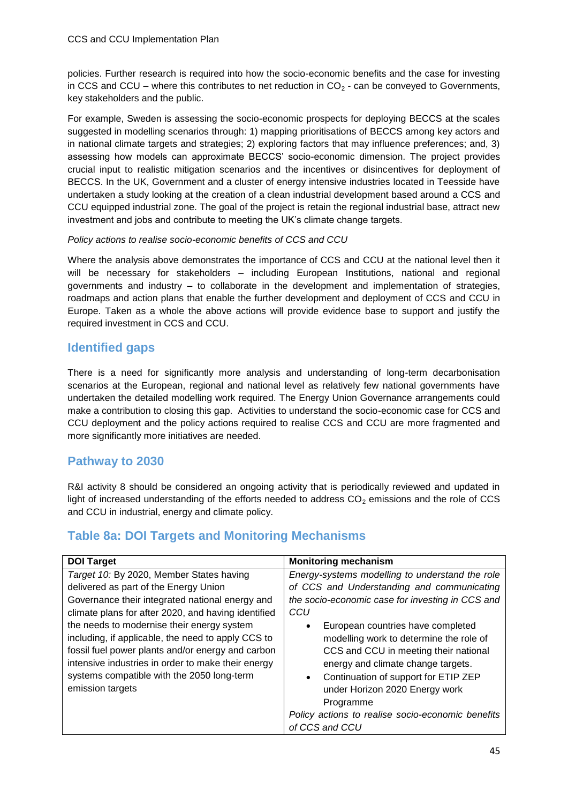policies. Further research is required into how the socio-economic benefits and the case for investing in CCS and CCU – where this contributes to net reduction in  $CO<sub>2</sub>$  - can be conveyed to Governments, key stakeholders and the public.

For example, Sweden is assessing the socio-economic prospects for deploying BECCS at the scales suggested in modelling scenarios through: 1) mapping prioritisations of BECCS among key actors and in national climate targets and strategies; 2) exploring factors that may influence preferences; and, 3) assessing how models can approximate BECCS' socio-economic dimension. The project provides crucial input to realistic mitigation scenarios and the incentives or disincentives for deployment of BECCS. In the UK, Government and a cluster of energy intensive industries located in Teesside have undertaken a study looking at the creation of a clean industrial development based around a CCS and CCU equipped industrial zone. The goal of the project is retain the regional industrial base, attract new investment and jobs and contribute to meeting the UK's climate change targets.

#### *Policy actions to realise socio-economic benefits of CCS and CCU*

Where the analysis above demonstrates the importance of CCS and CCU at the national level then it will be necessary for stakeholders – including European Institutions, national and regional governments and industry – to collaborate in the development and implementation of strategies, roadmaps and action plans that enable the further development and deployment of CCS and CCU in Europe. Taken as a whole the above actions will provide evidence base to support and justify the required investment in CCS and CCU.

#### <span id="page-44-0"></span>**Identified gaps**

There is a need for significantly more analysis and understanding of long-term decarbonisation scenarios at the European, regional and national level as relatively few national governments have undertaken the detailed modelling work required. The Energy Union Governance arrangements could make a contribution to closing this gap. Activities to understand the socio-economic case for CCS and CCU deployment and the policy actions required to realise CCS and CCU are more fragmented and more significantly more initiatives are needed.

### <span id="page-44-1"></span>**Pathway to 2030**

R&I activity 8 should be considered an ongoing activity that is periodically reviewed and updated in light of increased understanding of the efforts needed to address  $CO<sub>2</sub>$  emissions and the role of CCS and CCU in industrial, energy and climate policy.

### <span id="page-44-2"></span>**Table 8a: DOI Targets and Monitoring Mechanisms**

| <b>DOI Target</b>                                                                                                                                                                                                                                                             | <b>Monitoring mechanism</b>                                                                                                                                                                                                                                     |
|-------------------------------------------------------------------------------------------------------------------------------------------------------------------------------------------------------------------------------------------------------------------------------|-----------------------------------------------------------------------------------------------------------------------------------------------------------------------------------------------------------------------------------------------------------------|
| Target 10: By 2020, Member States having                                                                                                                                                                                                                                      | Energy-systems modelling to understand the role                                                                                                                                                                                                                 |
| delivered as part of the Energy Union                                                                                                                                                                                                                                         | of CCS and Understanding and communicating                                                                                                                                                                                                                      |
| Governance their integrated national energy and                                                                                                                                                                                                                               | the socio-economic case for investing in CCS and                                                                                                                                                                                                                |
| climate plans for after 2020, and having identified                                                                                                                                                                                                                           | CCU                                                                                                                                                                                                                                                             |
| the needs to modernise their energy system<br>including, if applicable, the need to apply CCS to<br>fossil fuel power plants and/or energy and carbon<br>intensive industries in order to make their energy<br>systems compatible with the 2050 long-term<br>emission targets | European countries have completed<br>$\bullet$<br>modelling work to determine the role of<br>CCS and CCU in meeting their national<br>energy and climate change targets.<br>Continuation of support for ETIP ZEP<br>$\bullet$<br>under Horizon 2020 Energy work |
|                                                                                                                                                                                                                                                                               | Programme                                                                                                                                                                                                                                                       |
|                                                                                                                                                                                                                                                                               | Policy actions to realise socio-economic benefits                                                                                                                                                                                                               |
|                                                                                                                                                                                                                                                                               | of CCS and CCU                                                                                                                                                                                                                                                  |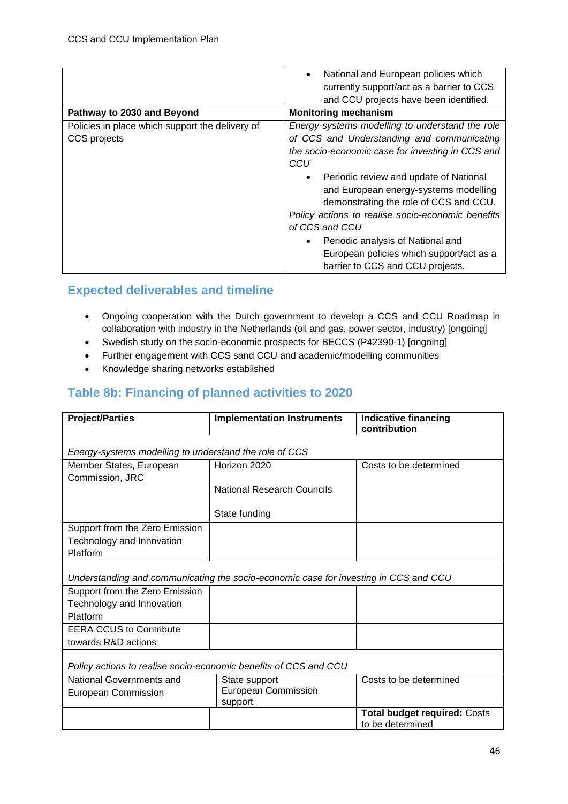|                                                 | National and European policies which<br>$\bullet$   |  |
|-------------------------------------------------|-----------------------------------------------------|--|
|                                                 | currently support/act as a barrier to CCS           |  |
|                                                 | and CCU projects have been identified.              |  |
| Pathway to 2030 and Beyond                      | <b>Monitoring mechanism</b>                         |  |
| Policies in place which support the delivery of | Energy-systems modelling to understand the role     |  |
| CCS projects                                    | of CCS and Understanding and communicating          |  |
|                                                 | the socio-economic case for investing in CCS and    |  |
|                                                 | CCU                                                 |  |
|                                                 | Periodic review and update of National<br>$\bullet$ |  |
|                                                 | and European energy-systems modelling               |  |
|                                                 | demonstrating the role of CCS and CCU.              |  |
|                                                 | Policy actions to realise socio-economic benefits   |  |
|                                                 | of CCS and CCU                                      |  |
|                                                 | Periodic analysis of National and<br>$\bullet$      |  |
|                                                 | European policies which support/act as a            |  |
|                                                 | barrier to CCS and CCU projects.                    |  |
|                                                 |                                                     |  |

### <span id="page-45-0"></span>**Expected deliverables and timeline**

- Ongoing cooperation with the Dutch government to develop a CCS and CCU Roadmap in collaboration with industry in the Netherlands (oil and gas, power sector, industry) [ongoing]
- Swedish study on the socio-economic prospects for BECCS (P42390-1) [ongoing]
- Further engagement with CCS sand CCU and academic/modelling communities
- Knowledge sharing networks established

### <span id="page-45-1"></span>**Table 8b: Financing of planned activities to 2020**

| <b>Project/Parties</b>                                                               | <b>Implementation Instruments</b>     | <b>Indicative financing</b><br>contribution             |  |  |
|--------------------------------------------------------------------------------------|---------------------------------------|---------------------------------------------------------|--|--|
| Energy-systems modelling to understand the role of CCS                               |                                       |                                                         |  |  |
| Member States, European<br>Commission, JRC                                           | Horizon 2020                          | Costs to be determined                                  |  |  |
|                                                                                      | <b>National Research Councils</b>     |                                                         |  |  |
|                                                                                      | State funding                         |                                                         |  |  |
| Support from the Zero Emission                                                       |                                       |                                                         |  |  |
| Technology and Innovation                                                            |                                       |                                                         |  |  |
| Platform                                                                             |                                       |                                                         |  |  |
| Understanding and communicating the socio-economic case for investing in CCS and CCU |                                       |                                                         |  |  |
| Support from the Zero Emission                                                       |                                       |                                                         |  |  |
| Technology and Innovation                                                            |                                       |                                                         |  |  |
| Platform                                                                             |                                       |                                                         |  |  |
| <b>EERA CCUS to Contribute</b>                                                       |                                       |                                                         |  |  |
| towards R&D actions                                                                  |                                       |                                                         |  |  |
| Policy actions to realise socio-economic benefits of CCS and CCU                     |                                       |                                                         |  |  |
| National Governments and                                                             | State support                         | Costs to be determined                                  |  |  |
| <b>European Commission</b>                                                           | <b>European Commission</b><br>support |                                                         |  |  |
|                                                                                      |                                       | <b>Total budget required: Costs</b><br>to be determined |  |  |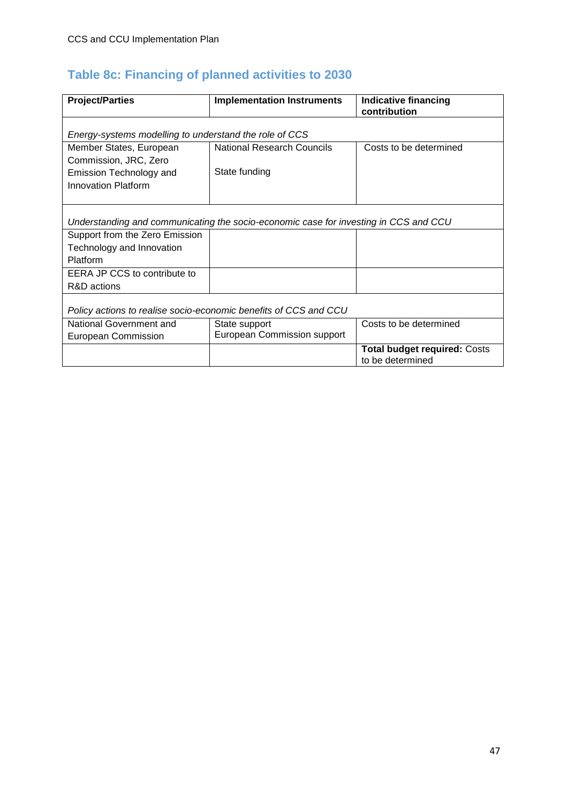## <span id="page-46-0"></span>**Table 8c: Financing of planned activities to 2030**

| <b>Project/Parties</b>                                                               | <b>Implementation Instruments</b> | <b>Indicative financing</b><br>contribution             |  |  |
|--------------------------------------------------------------------------------------|-----------------------------------|---------------------------------------------------------|--|--|
| Energy-systems modelling to understand the role of CCS                               |                                   |                                                         |  |  |
| Member States, European                                                              | <b>National Research Councils</b> | Costs to be determined                                  |  |  |
| Commission, JRC, Zero                                                                |                                   |                                                         |  |  |
| Emission Technology and                                                              | State funding                     |                                                         |  |  |
| <b>Innovation Platform</b>                                                           |                                   |                                                         |  |  |
|                                                                                      |                                   |                                                         |  |  |
| Understanding and communicating the socio-economic case for investing in CCS and CCU |                                   |                                                         |  |  |
| Support from the Zero Emission                                                       |                                   |                                                         |  |  |
| Technology and Innovation                                                            |                                   |                                                         |  |  |
| Platform                                                                             |                                   |                                                         |  |  |
| EERA JP CCS to contribute to                                                         |                                   |                                                         |  |  |
| R&D actions                                                                          |                                   |                                                         |  |  |
| Policy actions to realise socio-economic benefits of CCS and CCU                     |                                   |                                                         |  |  |
| National Government and                                                              | State support                     | Costs to be determined                                  |  |  |
| <b>European Commission</b>                                                           | European Commission support       |                                                         |  |  |
|                                                                                      |                                   | <b>Total budget required: Costs</b><br>to be determined |  |  |